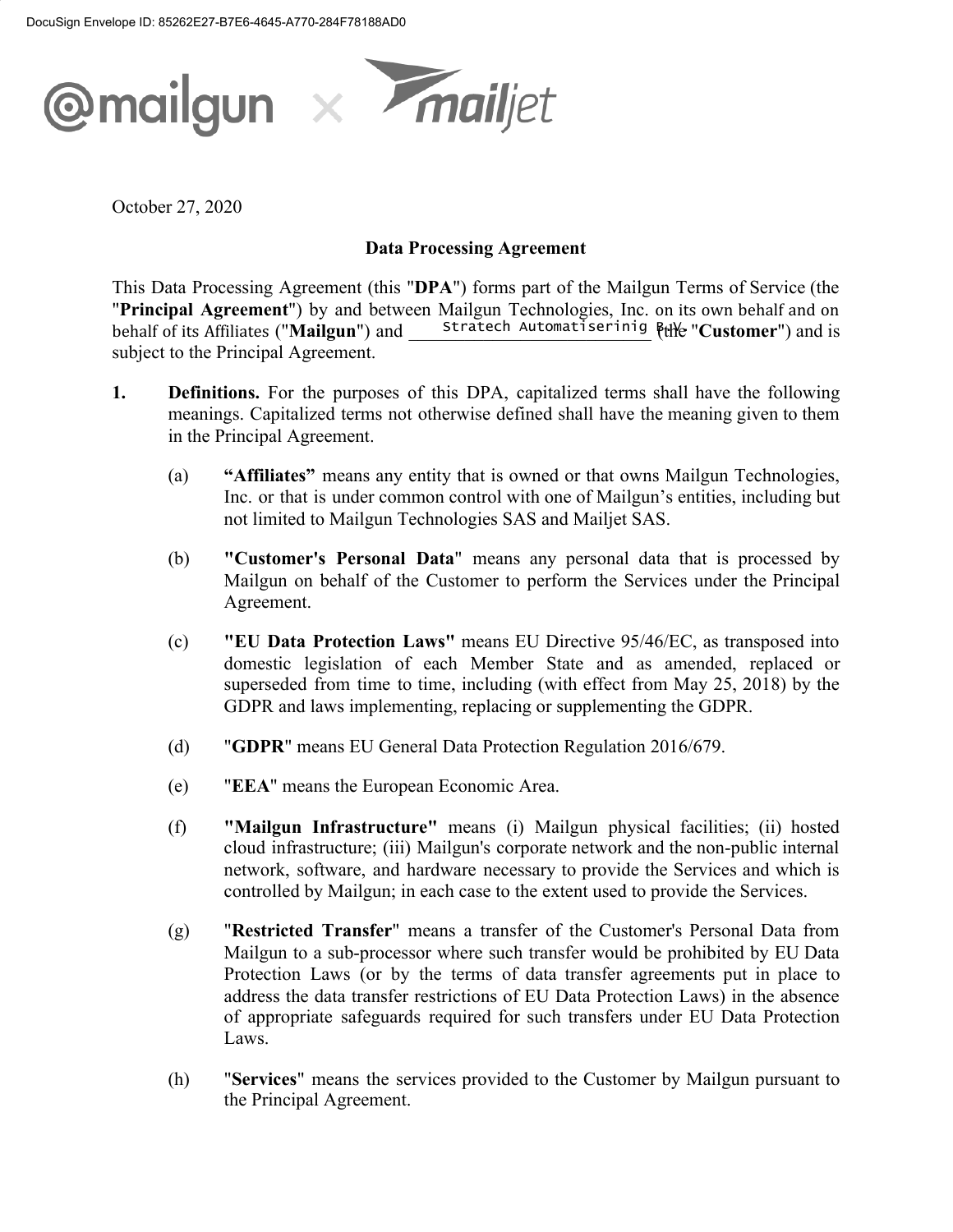

October 27, 2020

# **Data Processing Agreement**

This Data Processing Agreement (this "**DPA**") forms part of the Mailgun Terms of Service (the "**Principal Agreement**") by and between Mailgun Technologies, Inc. on its own behalf and on behalf of its Affiliates ("Mailgun") and stratech Automatiserinig Ptlle "Customer") and is subject to the Principal Agreement.

- **1. Definitions.** For the purposes of this DPA, capitalized terms shall have the following meanings. Capitalized terms not otherwise defined shall have the meaning given to them in the Principal Agreement.
	- (a) **"Affiliates"** means any entity that is owned or that owns Mailgun Technologies, Inc. or that is under common control with one of Mailgun's entities, including but not limited to Mailgun Technologies SAS and Mailjet SAS.
	- (b) **"Customer's Personal Data**" means any personal data that is processed by Mailgun on behalf of the Customer to perform the Services under the Principal Agreement.
	- (c) **"EU Data Protection Laws"** means EU Directive 95/46/EC, as transposed into domestic legislation of each Member State and as amended, replaced or superseded from time to time, including (with effect from May 25, 2018) by the GDPR and laws implementing, replacing or supplementing the GDPR.
	- (d) "**GDPR**" means EU General Data Protection Regulation 2016/679.
	- (e) "**EEA**" means the European Economic Area.
	- (f) **"Mailgun Infrastructure"** means (i) Mailgun physical facilities; (ii) hosted cloud infrastructure; (iii) Mailgun's corporate network and the non-public internal network, software, and hardware necessary to provide the Services and which is controlled by Mailgun; in each case to the extent used to provide the Services.
	- (g) "**Restricted Transfer**" means a transfer of the Customer's Personal Data from Mailgun to a sub-processor where such transfer would be prohibited by EU Data Protection Laws (or by the terms of data transfer agreements put in place to address the data transfer restrictions of EU Data Protection Laws) in the absence of appropriate safeguards required for such transfers under EU Data Protection Laws.
	- (h) "**Services**" means the services provided to the Customer by Mailgun pursuant to the Principal Agreement.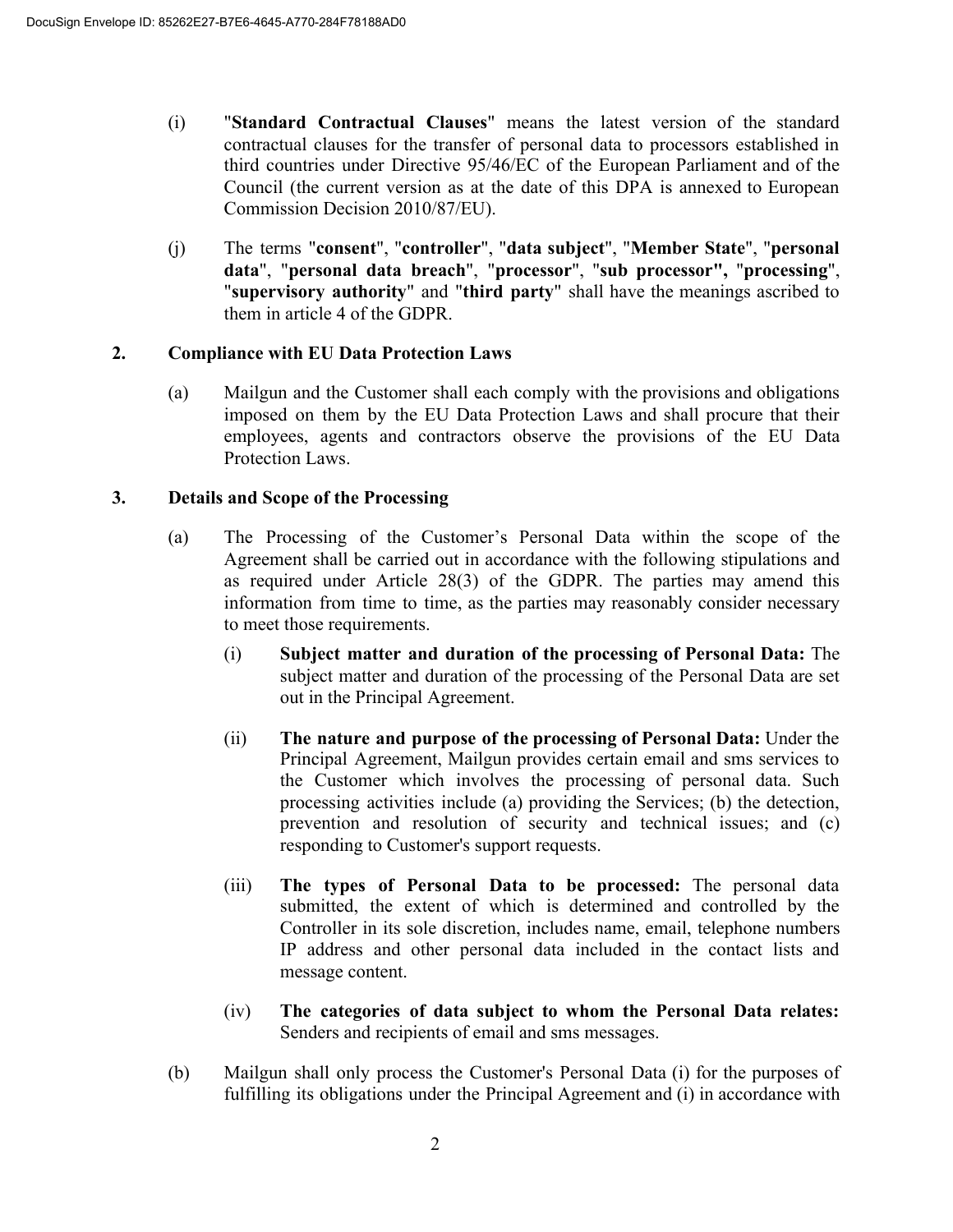- (i) "**Standard Contractual Clauses**" means the latest version of the standard contractual clauses for the transfer of personal data to processors established in third countries under Directive 95/46/EC of the European Parliament and of the Council (the current version as at the date of this DPA is annexed to European Commission Decision 2010/87/EU).
- (j) The terms "**consent**", "**controller**", "**data subject**", "**Member State**", "**personal data**", "**personal data breach**", "**processor**", "**sub processor",** "**processing**", "**supervisory authority**" and "**third party**" shall have the meanings ascribed to them in article 4 of the GDPR.

# **2. Compliance with EU Data Protection Laws**

(a) Mailgun and the Customer shall each comply with the provisions and obligations imposed on them by the EU Data Protection Laws and shall procure that their employees, agents and contractors observe the provisions of the EU Data Protection Laws.

# **3. Details and Scope of the Processing**

- (a) The Processing of the Customer's Personal Data within the scope of the Agreement shall be carried out in accordance with the following stipulations and as required under Article 28(3) of the GDPR. The parties may amend this information from time to time, as the parties may reasonably consider necessary to meet those requirements.
	- (i) **Subject matter and duration of the processing of Personal Data:** The subject matter and duration of the processing of the Personal Data are set out in the Principal Agreement.
	- (ii) **The nature and purpose of the processing of Personal Data:** Under the Principal Agreement, Mailgun provides certain email and sms services to the Customer which involves the processing of personal data. Such processing activities include (a) providing the Services; (b) the detection, prevention and resolution of security and technical issues; and (c) responding to Customer's support requests.
	- (iii) **The types of Personal Data to be processed:** The personal data submitted, the extent of which is determined and controlled by the Controller in its sole discretion, includes name, email, telephone numbers IP address and other personal data included in the contact lists and message content.
	- (iv) **The categories of data subject to whom the Personal Data relates:** Senders and recipients of email and sms messages.
- (b) Mailgun shall only process the Customer's Personal Data (i) for the purposes of fulfilling its obligations under the Principal Agreement and (i) in accordance with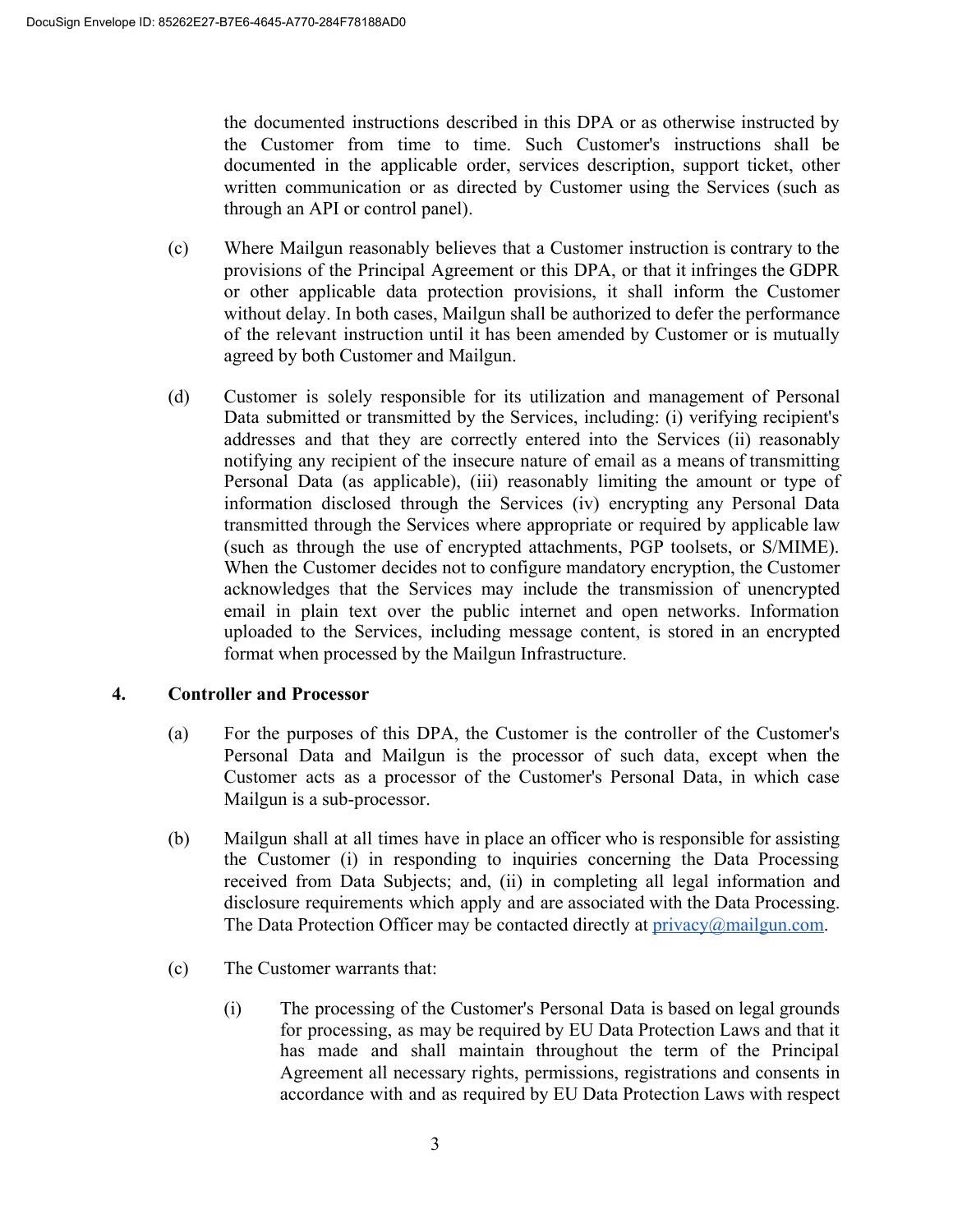the documented instructions described in this DPA or as otherwise instructed by the Customer from time to time. Such Customer's instructions shall be documented in the applicable order, services description, support ticket, other written communication or as directed by Customer using the Services (such as through an API or control panel).

- (c) Where Mailgun reasonably believes that a Customer instruction is contrary to the provisions of the Principal Agreement or this DPA, or that it infringes the GDPR or other applicable data protection provisions, it shall inform the Customer without delay. In both cases, Mailgun shall be authorized to defer the performance of the relevant instruction until it has been amended by Customer or is mutually agreed by both Customer and Mailgun.
- (d) Customer is solely responsible for its utilization and management of Personal Data submitted or transmitted by the Services, including: (i) verifying recipient's addresses and that they are correctly entered into the Services (ii) reasonably notifying any recipient of the insecure nature of email as a means of transmitting Personal Data (as applicable), (iii) reasonably limiting the amount or type of information disclosed through the Services (iv) encrypting any Personal Data transmitted through the Services where appropriate or required by applicable law (such as through the use of encrypted attachments, PGP toolsets, or S/MIME). When the Customer decides not to configure mandatory encryption, the Customer acknowledges that the Services may include the transmission of unencrypted email in plain text over the public internet and open networks. Information uploaded to the Services, including message content, is stored in an encrypted format when processed by the Mailgun Infrastructure.

# **4. Controller and Processor**

- (a) For the purposes of this DPA, the Customer is the controller of the Customer's Personal Data and Mailgun is the processor of such data, except when the Customer acts as a processor of the Customer's Personal Data, in which case Mailgun is a sub-processor.
- (b) Mailgun shall at all times have in place an officer who is responsible for assisting the Customer (i) in responding to inquiries concerning the Data Processing received from Data Subjects; and, (ii) in completing all legal information and disclosure requirements which apply and are associated with the Data Processing. The Data Protection Officer may be contacted directly at  $\text{privacy}(a\text{mailgun.com})$ .
- (c) The Customer warrants that:
	- (i) The processing of the Customer's Personal Data is based on legal grounds for processing, as may be required by EU Data Protection Laws and that it has made and shall maintain throughout the term of the Principal Agreement all necessary rights, permissions, registrations and consents in accordance with and as required by EU Data Protection Laws with respect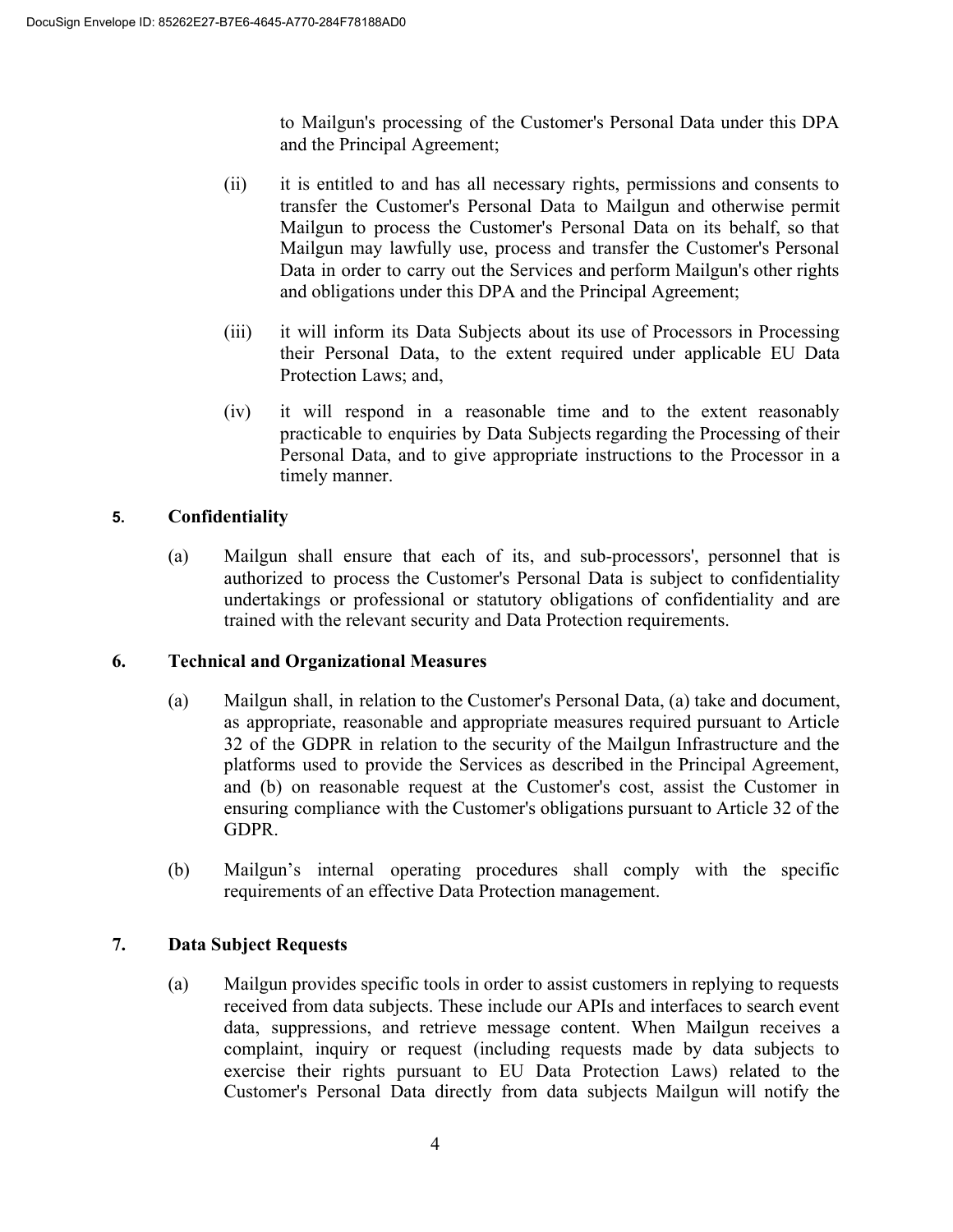to Mailgun's processing of the Customer's Personal Data under this DPA and the Principal Agreement;

- (ii) it is entitled to and has all necessary rights, permissions and consents to transfer the Customer's Personal Data to Mailgun and otherwise permit Mailgun to process the Customer's Personal Data on its behalf, so that Mailgun may lawfully use, process and transfer the Customer's Personal Data in order to carry out the Services and perform Mailgun's other rights and obligations under this DPA and the Principal Agreement;
- (iii) it will inform its Data Subjects about its use of Processors in Processing their Personal Data, to the extent required under applicable EU Data Protection Laws; and,
- (iv) it will respond in a reasonable time and to the extent reasonably practicable to enquiries by Data Subjects regarding the Processing of their Personal Data, and to give appropriate instructions to the Processor in a timely manner.

# **5. Confidentiality**

(a) Mailgun shall ensure that each of its, and sub-processors', personnel that is authorized to process the Customer's Personal Data is subject to confidentiality undertakings or professional or statutory obligations of confidentiality and are trained with the relevant security and Data Protection requirements.

### **6. Technical and Organizational Measures**

- (a) Mailgun shall, in relation to the Customer's Personal Data, (a) take and document, as appropriate, reasonable and appropriate measures required pursuant to Article 32 of the GDPR in relation to the security of the Mailgun Infrastructure and the platforms used to provide the Services as described in the Principal Agreement, and (b) on reasonable request at the Customer's cost, assist the Customer in ensuring compliance with the Customer's obligations pursuant to Article 32 of the GDPR.
- (b) Mailgun's internal operating procedures shall comply with the specific requirements of an effective Data Protection management.

# **7. Data Subject Requests**

(a) Mailgun provides specific tools in order to assist customers in replying to requests received from data subjects. These include our APIs and interfaces to search event data, suppressions, and retrieve message content. When Mailgun receives a complaint, inquiry or request (including requests made by data subjects to exercise their rights pursuant to EU Data Protection Laws) related to the Customer's Personal Data directly from data subjects Mailgun will notify the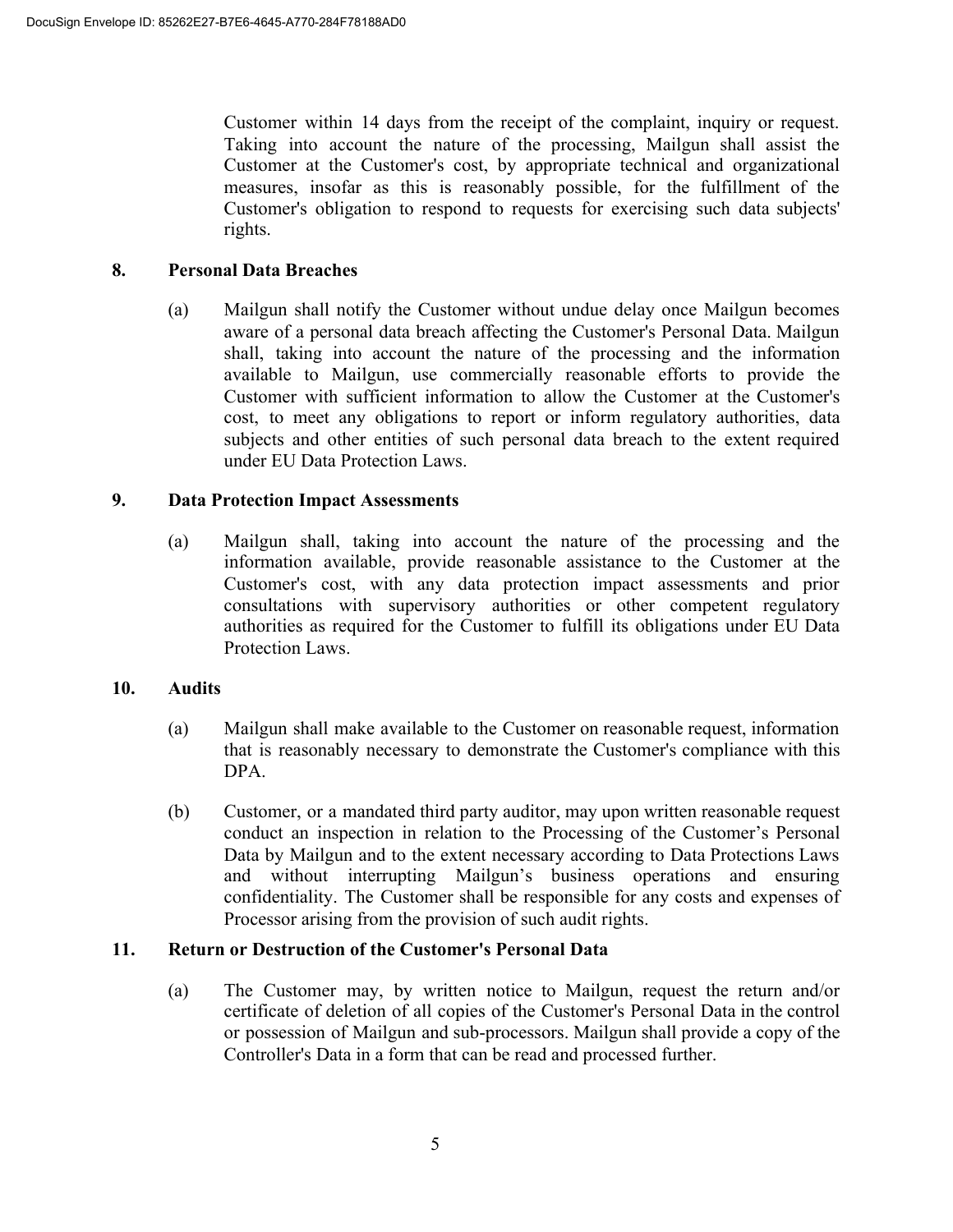Customer within 14 days from the receipt of the complaint, inquiry or request. Taking into account the nature of the processing, Mailgun shall assist the Customer at the Customer's cost, by appropriate technical and organizational measures, insofar as this is reasonably possible, for the fulfillment of the Customer's obligation to respond to requests for exercising such data subjects' rights.

### **8. Personal Data Breaches**

(a) Mailgun shall notify the Customer without undue delay once Mailgun becomes aware of a personal data breach affecting the Customer's Personal Data. Mailgun shall, taking into account the nature of the processing and the information available to Mailgun, use commercially reasonable efforts to provide the Customer with sufficient information to allow the Customer at the Customer's cost, to meet any obligations to report or inform regulatory authorities, data subjects and other entities of such personal data breach to the extent required under EU Data Protection Laws.

### **9. Data Protection Impact Assessments**

(a) Mailgun shall, taking into account the nature of the processing and the information available, provide reasonable assistance to the Customer at the Customer's cost, with any data protection impact assessments and prior consultations with supervisory authorities or other competent regulatory authorities as required for the Customer to fulfill its obligations under EU Data Protection Laws.

#### **10. Audits**

- (a) Mailgun shall make available to the Customer on reasonable request, information that is reasonably necessary to demonstrate the Customer's compliance with this DPA.
- (b) Customer, or a mandated third party auditor, may upon written reasonable request conduct an inspection in relation to the Processing of the Customer's Personal Data by Mailgun and to the extent necessary according to Data Protections Laws and without interrupting Mailgun's business operations and ensuring confidentiality. The Customer shall be responsible for any costs and expenses of Processor arising from the provision of such audit rights.

# **11. Return or Destruction of the Customer's Personal Data**

(a) The Customer may, by written notice to Mailgun, request the return and/or certificate of deletion of all copies of the Customer's Personal Data in the control or possession of Mailgun and sub-processors. Mailgun shall provide a copy of the Controller's Data in a form that can be read and processed further.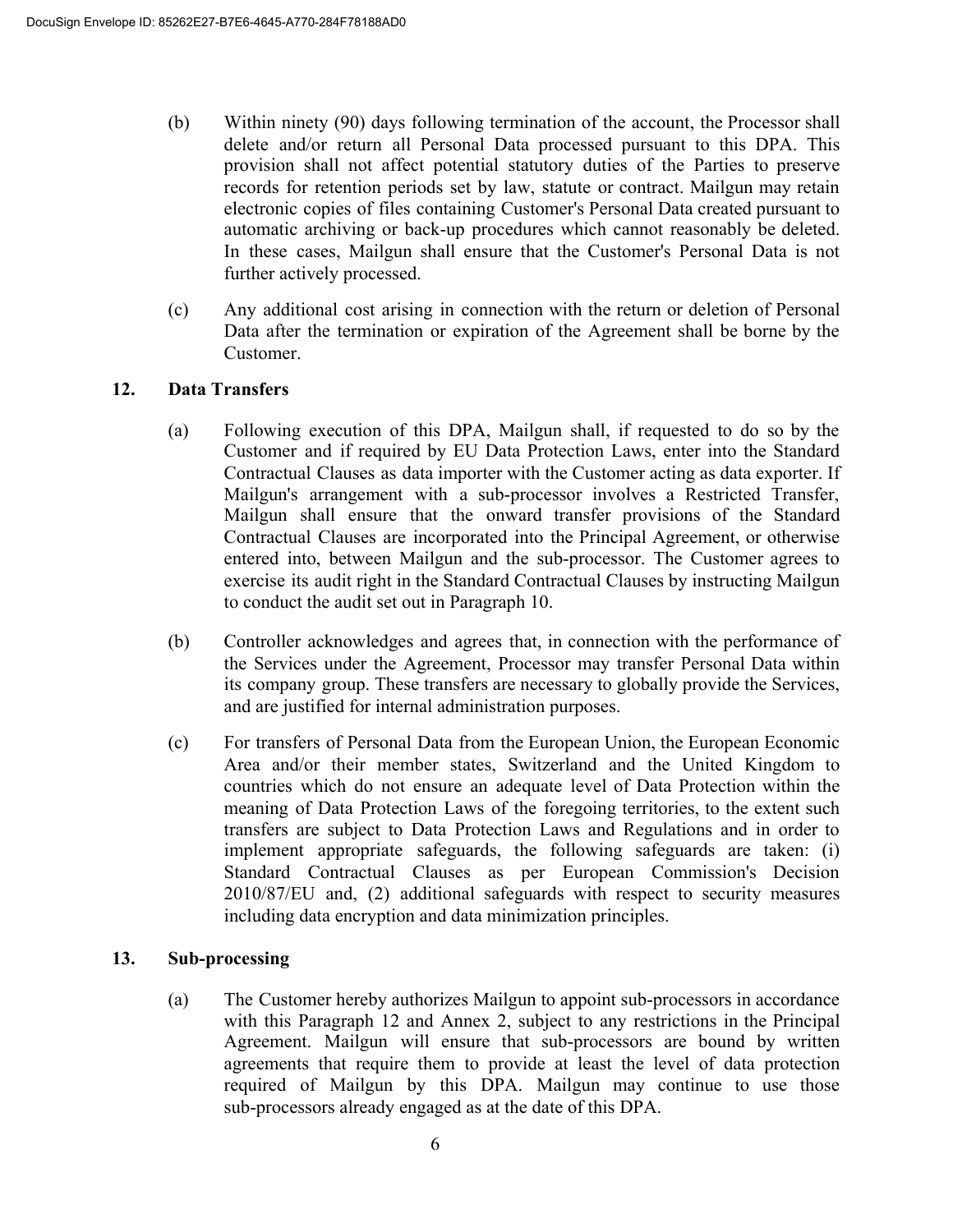- (b) Within ninety (90) days following termination of the account, the Processor shall delete and/or return all Personal Data processed pursuant to this DPA. This provision shall not affect potential statutory duties of the Parties to preserve records for retention periods set by law, statute or contract. Mailgun may retain electronic copies of files containing Customer's Personal Data created pursuant to automatic archiving or back-up procedures which cannot reasonably be deleted. In these cases, Mailgun shall ensure that the Customer's Personal Data is not further actively processed.
- (c) Any additional cost arising in connection with the return or deletion of Personal Data after the termination or expiration of the Agreement shall be borne by the Customer.

# **12. Data Transfers**

- (a) Following execution of this DPA, Mailgun shall, if requested to do so by the Customer and if required by EU Data Protection Laws, enter into the Standard Contractual Clauses as data importer with the Customer acting as data exporter. If Mailgun's arrangement with a sub-processor involves a Restricted Transfer, Mailgun shall ensure that the onward transfer provisions of the Standard Contractual Clauses are incorporated into the Principal Agreement, or otherwise entered into, between Mailgun and the sub-processor. The Customer agrees to exercise its audit right in the Standard Contractual Clauses by instructing Mailgun to conduct the audit set out in Paragraph 10.
- (b) Controller acknowledges and agrees that, in connection with the performance of the Services under the Agreement, Processor may transfer Personal Data within its company group. These transfers are necessary to globally provide the Services, and are justified for internal administration purposes.
- (c) For transfers of Personal Data from the European Union, the European Economic Area and/or their member states, Switzerland and the United Kingdom to countries which do not ensure an adequate level of Data Protection within the meaning of Data Protection Laws of the foregoing territories, to the extent such transfers are subject to Data Protection Laws and Regulations and in order to implement appropriate safeguards, the following safeguards are taken: (i) Standard Contractual Clauses as per European Commission's Decision 2010/87/EU and, (2) additional safeguards with respect to security measures including data encryption and data minimization principles.

### **13. Sub-processing**

(a) The Customer hereby authorizes Mailgun to appoint sub-processors in accordance with this Paragraph 12 and Annex 2, subject to any restrictions in the Principal Agreement. Mailgun will ensure that sub-processors are bound by written agreements that require them to provide at least the level of data protection required of Mailgun by this DPA. Mailgun may continue to use those sub-processors already engaged as at the date of this DPA.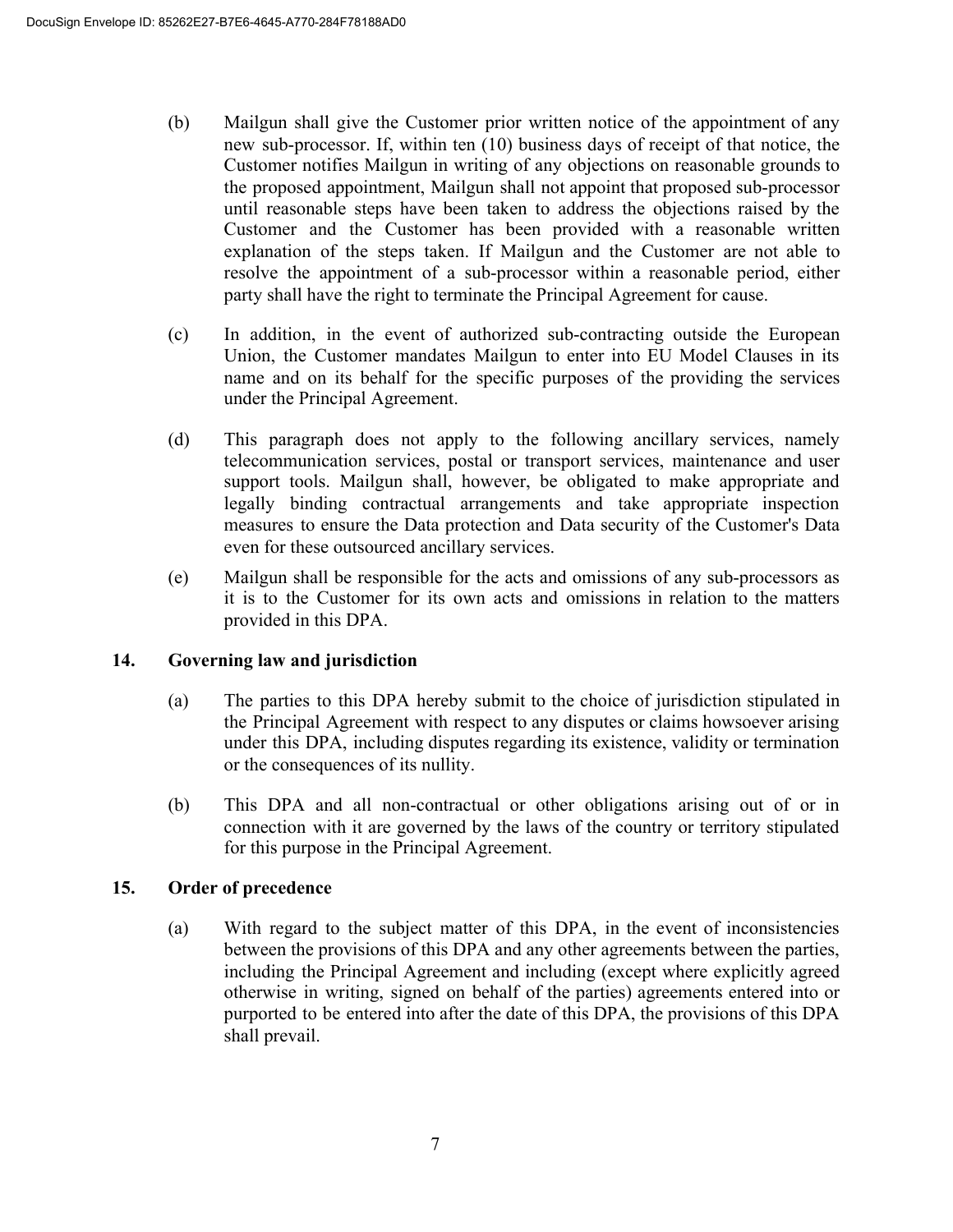- (b) Mailgun shall give the Customer prior written notice of the appointment of any new sub-processor. If, within ten (10) business days of receipt of that notice, the Customer notifies Mailgun in writing of any objections on reasonable grounds to the proposed appointment, Mailgun shall not appoint that proposed sub-processor until reasonable steps have been taken to address the objections raised by the Customer and the Customer has been provided with a reasonable written explanation of the steps taken. If Mailgun and the Customer are not able to resolve the appointment of a sub-processor within a reasonable period, either party shall have the right to terminate the Principal Agreement for cause.
- (c) In addition, in the event of authorized sub-contracting outside the European Union, the Customer mandates Mailgun to enter into EU Model Clauses in its name and on its behalf for the specific purposes of the providing the services under the Principal Agreement.
- (d) This paragraph does not apply to the following ancillary services, namely telecommunication services, postal or transport services, maintenance and user support tools. Mailgun shall, however, be obligated to make appropriate and legally binding contractual arrangements and take appropriate inspection measures to ensure the Data protection and Data security of the Customer's Data even for these outsourced ancillary services.
- (e) Mailgun shall be responsible for the acts and omissions of any sub-processors as it is to the Customer for its own acts and omissions in relation to the matters provided in this DPA.

# **14. Governing law and jurisdiction**

- (a) The parties to this DPA hereby submit to the choice of jurisdiction stipulated in the Principal Agreement with respect to any disputes or claims howsoever arising under this DPA, including disputes regarding its existence, validity or termination or the consequences of its nullity.
- (b) This DPA and all non-contractual or other obligations arising out of or in connection with it are governed by the laws of the country or territory stipulated for this purpose in the Principal Agreement.

# **15. Order of precedence**

(a) With regard to the subject matter of this DPA, in the event of inconsistencies between the provisions of this DPA and any other agreements between the parties, including the Principal Agreement and including (except where explicitly agreed otherwise in writing, signed on behalf of the parties) agreements entered into or purported to be entered into after the date of this DPA, the provisions of this DPA shall prevail.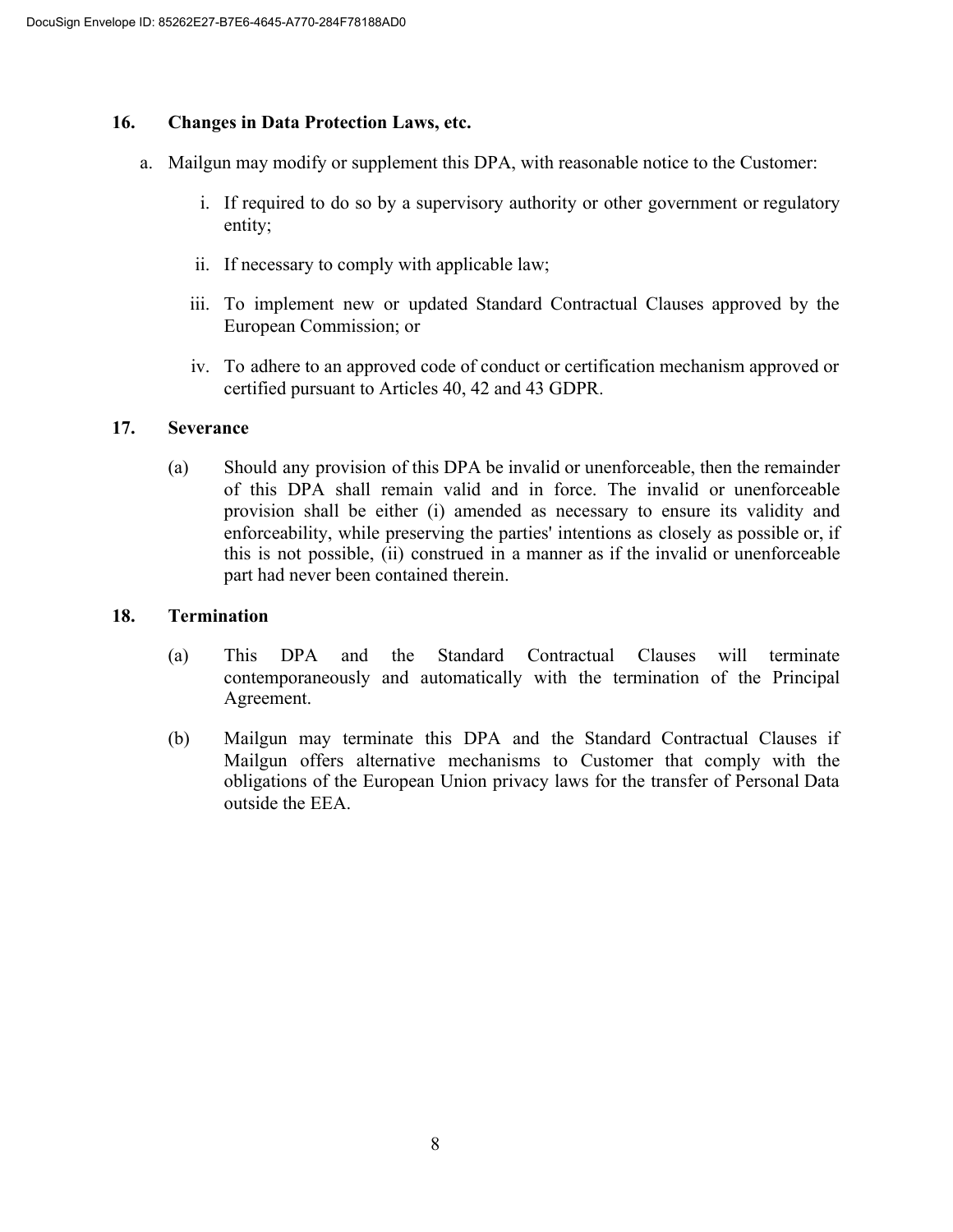### **16. Changes in Data Protection Laws, etc.**

- a. Mailgun may modify or supplement this DPA, with reasonable notice to the Customer:
	- i. If required to do so by a supervisory authority or other government or regulatory entity;
	- ii. If necessary to comply with applicable law;
	- iii. To implement new or updated Standard Contractual Clauses approved by the European Commission; or
	- iv. To adhere to an approved code of conduct or certification mechanism approved or certified pursuant to Articles 40, 42 and 43 GDPR.

#### **17. Severance**

(a) Should any provision of this DPA be invalid or unenforceable, then the remainder of this DPA shall remain valid and in force. The invalid or unenforceable provision shall be either (i) amended as necessary to ensure its validity and enforceability, while preserving the parties' intentions as closely as possible or, if this is not possible, (ii) construed in a manner as if the invalid or unenforceable part had never been contained therein.

#### **18. Termination**

- (a) This DPA and the Standard Contractual Clauses will terminate contemporaneously and automatically with the termination of the Principal Agreement.
- (b) Mailgun may terminate this DPA and the Standard Contractual Clauses if Mailgun offers alternative mechanisms to Customer that comply with the obligations of the European Union privacy laws for the transfer of Personal Data outside the EEA.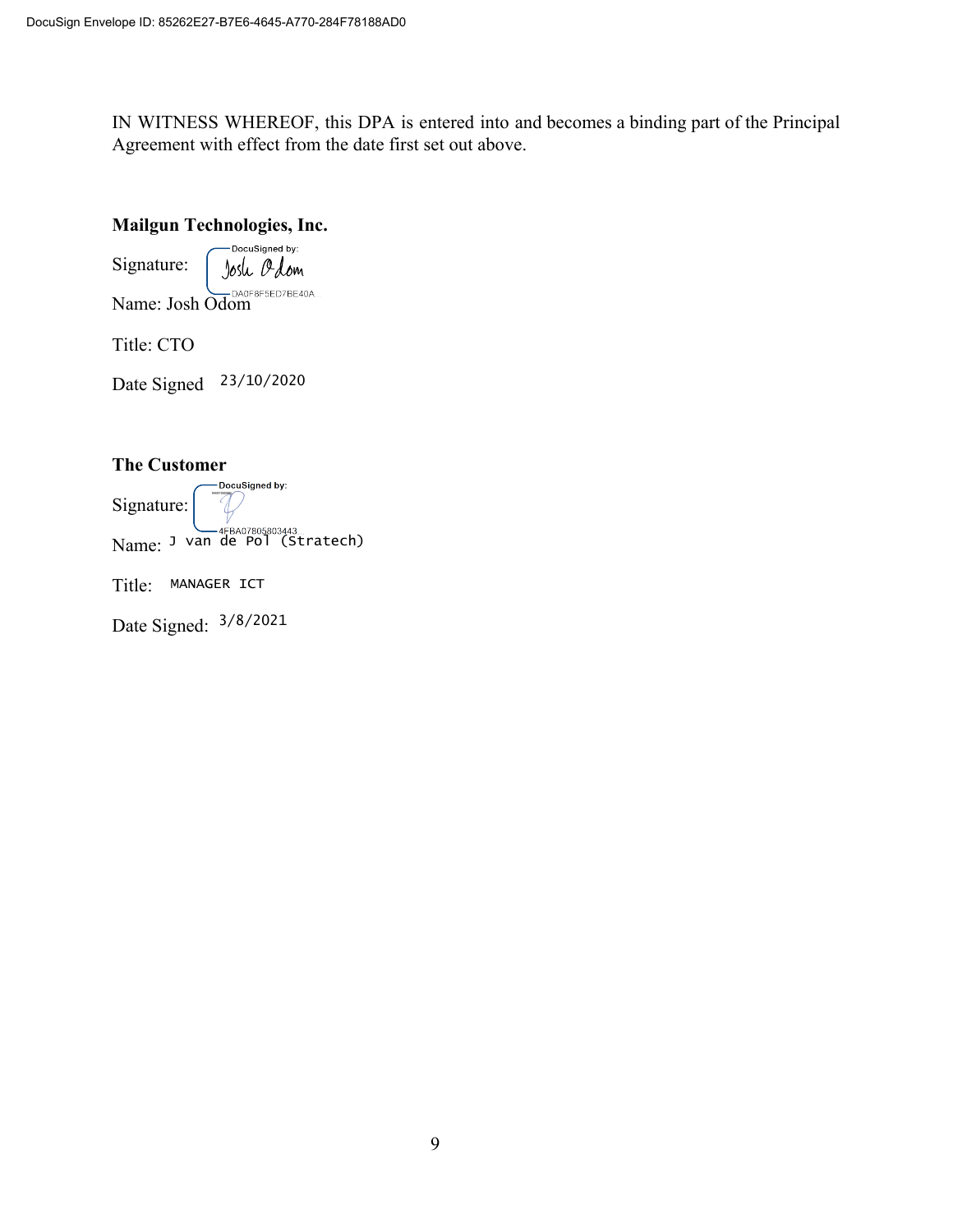IN WITNESS WHEREOF, this DPA is entered into and becomes a binding part of the Principal Agreement with effect from the date first set out above.

# **Mailgun Technologies, Inc.**

DocuSigned by: Signature: Josle Odom Name: Josh Odom

Title: CTO

Date Signed 23/10/2020

# **The Customer**

DocuSigned by: Signature: Name: J van de Pol (Stratech)

Title: MANAGER ICT

Date Signed:  $3/8/2021$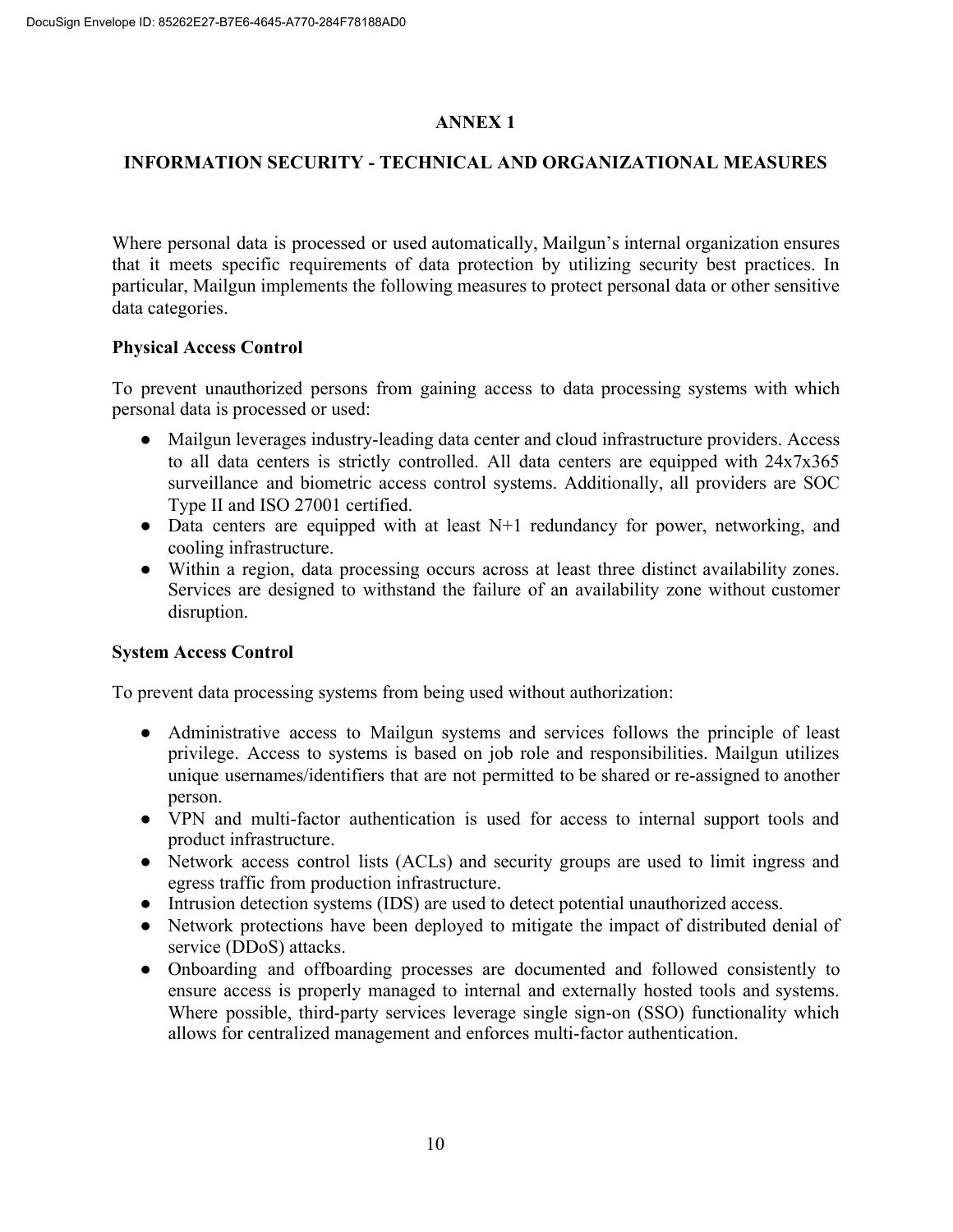# **ANNEX 1**

# **INFORMATION SECURITY - TECHNICAL AND ORGANIZATIONAL MEASURES**

Where personal data is processed or used automatically, Mailgun's internal organization ensures that it meets specific requirements of data protection by utilizing security best practices. In particular, Mailgun implements the following measures to protect personal data or other sensitive data categories.

# **Physical Access Control**

To prevent unauthorized persons from gaining access to data processing systems with which personal data is processed or used:

- Mailgun leverages industry-leading data center and cloud infrastructure providers. Access to all data centers is strictly controlled. All data centers are equipped with 24x7x365 surveillance and biometric access control systems. Additionally, all providers are SOC Type II and ISO 27001 certified.
- Data centers are equipped with at least N+1 redundancy for power, networking, and cooling infrastructure.
- Within a region, data processing occurs across at least three distinct availability zones. Services are designed to withstand the failure of an availability zone without customer disruption.

### **System Access Control**

To prevent data processing systems from being used without authorization:

- Administrative access to Mailgun systems and services follows the principle of least privilege. Access to systems is based on job role and responsibilities. Mailgun utilizes unique usernames/identifiers that are not permitted to be shared or re-assigned to another person.
- VPN and multi-factor authentication is used for access to internal support tools and product infrastructure.
- Network access control lists (ACLs) and security groups are used to limit ingress and egress traffic from production infrastructure.
- Intrusion detection systems (IDS) are used to detect potential unauthorized access.
- Network protections have been deployed to mitigate the impact of distributed denial of service (DDoS) attacks.
- Onboarding and offboarding processes are documented and followed consistently to ensure access is properly managed to internal and externally hosted tools and systems. Where possible, third-party services leverage single sign-on (SSO) functionality which allows for centralized management and enforces multi-factor authentication.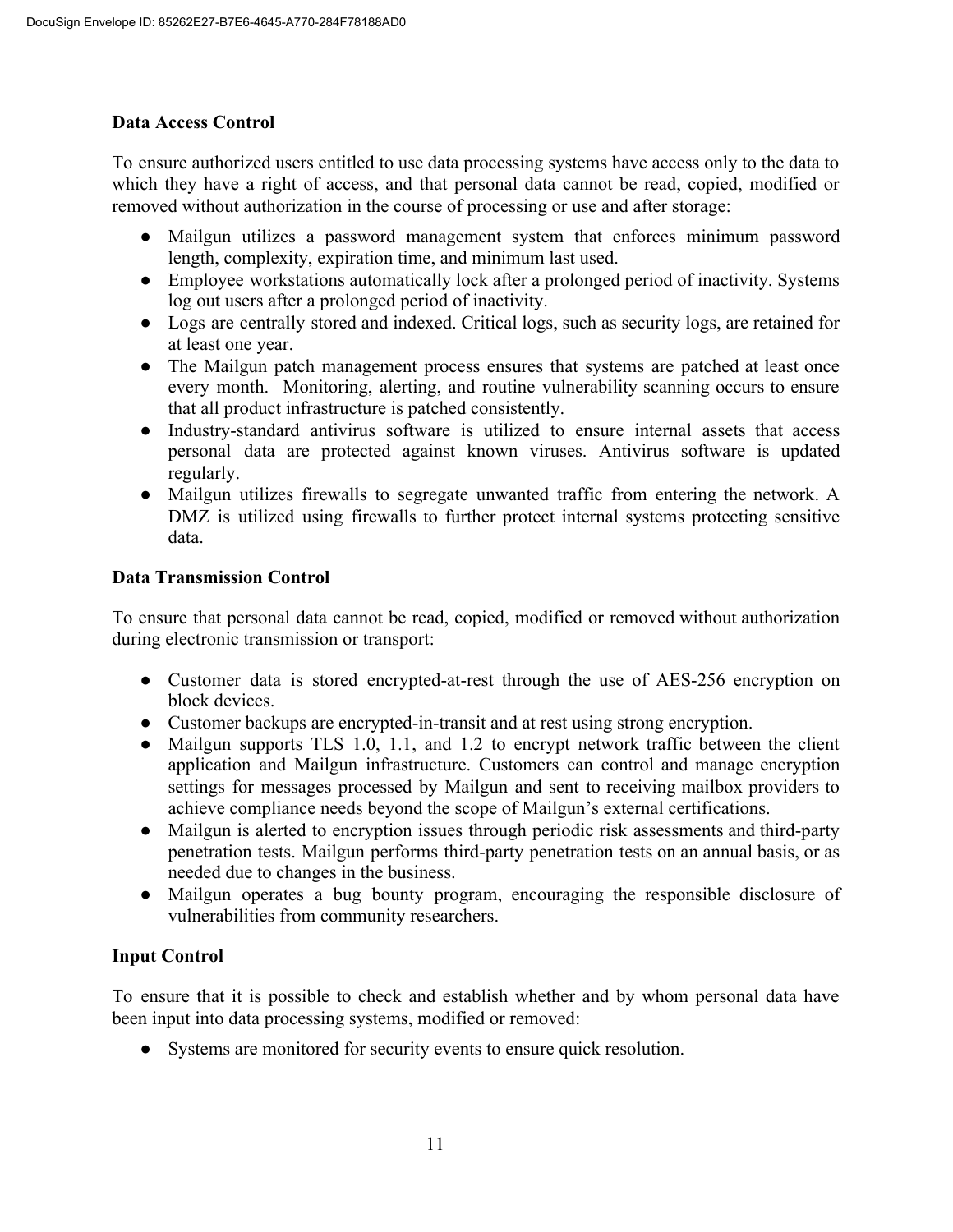# **Data Access Control**

To ensure authorized users entitled to use data processing systems have access only to the data to which they have a right of access, and that personal data cannot be read, copied, modified or removed without authorization in the course of processing or use and after storage:

- Mailgun utilizes a password management system that enforces minimum password length, complexity, expiration time, and minimum last used.
- Employee workstations automatically lock after a prolonged period of inactivity. Systems log out users after a prolonged period of inactivity.
- Logs are centrally stored and indexed. Critical logs, such as security logs, are retained for at least one year.
- The Mailgun patch management process ensures that systems are patched at least once every month. Monitoring, alerting, and routine vulnerability scanning occurs to ensure that all product infrastructure is patched consistently.
- Industry-standard antivirus software is utilized to ensure internal assets that access personal data are protected against known viruses. Antivirus software is updated regularly.
- Mailgun utilizes firewalls to segregate unwanted traffic from entering the network. A DMZ is utilized using firewalls to further protect internal systems protecting sensitive data.

# **Data Transmission Control**

To ensure that personal data cannot be read, copied, modified or removed without authorization during electronic transmission or transport:

- Customer data is stored encrypted-at-rest through the use of AES-256 encryption on block devices.
- Customer backups are encrypted-in-transit and at rest using strong encryption.
- Mailgun supports TLS 1.0, 1.1, and 1.2 to encrypt network traffic between the client application and Mailgun infrastructure. Customers can control and manage encryption settings for messages processed by Mailgun and sent to receiving mailbox providers to achieve compliance needs beyond the scope of Mailgun's external certifications.
- Mailgun is alerted to encryption issues through periodic risk assessments and third-party penetration tests. Mailgun performs third-party penetration tests on an annual basis, or as needed due to changes in the business.
- Mailgun operates a bug bounty program, encouraging the responsible disclosure of vulnerabilities from community researchers.

# **Input Control**

To ensure that it is possible to check and establish whether and by whom personal data have been input into data processing systems, modified or removed:

● Systems are monitored for security events to ensure quick resolution.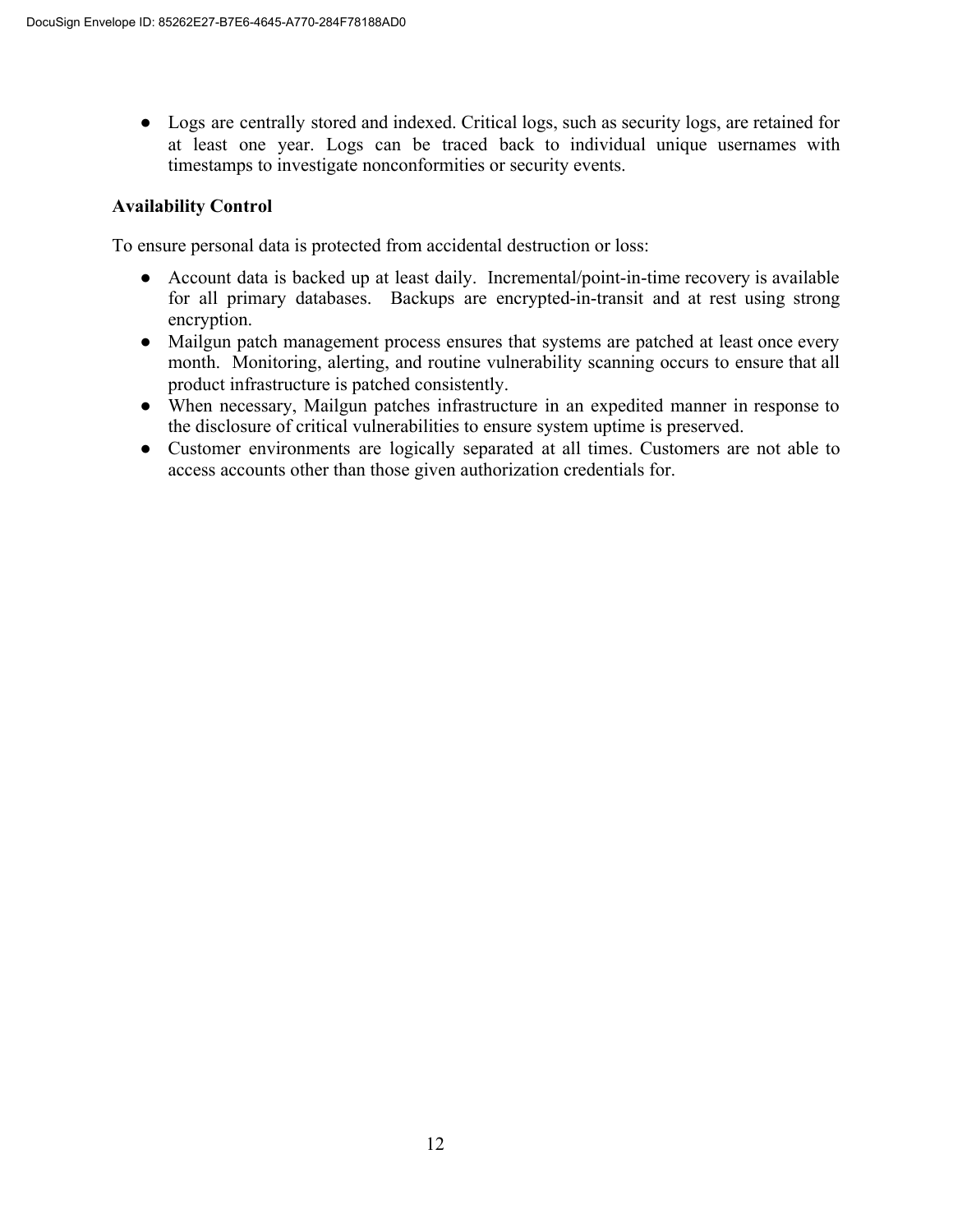● Logs are centrally stored and indexed. Critical logs, such as security logs, are retained for at least one year. Logs can be traced back to individual unique usernames with timestamps to investigate nonconformities or security events.

# **Availability Control**

To ensure personal data is protected from accidental destruction or loss:

- Account data is backed up at least daily. Incremental/point-in-time recovery is available for all primary databases. Backups are encrypted-in-transit and at rest using strong encryption.
- Mailgun patch management process ensures that systems are patched at least once every month. Monitoring, alerting, and routine vulnerability scanning occurs to ensure that all product infrastructure is patched consistently.
- When necessary, Mailgun patches infrastructure in an expedited manner in response to the disclosure of critical vulnerabilities to ensure system uptime is preserved.
- Customer environments are logically separated at all times. Customers are not able to access accounts other than those given authorization credentials for.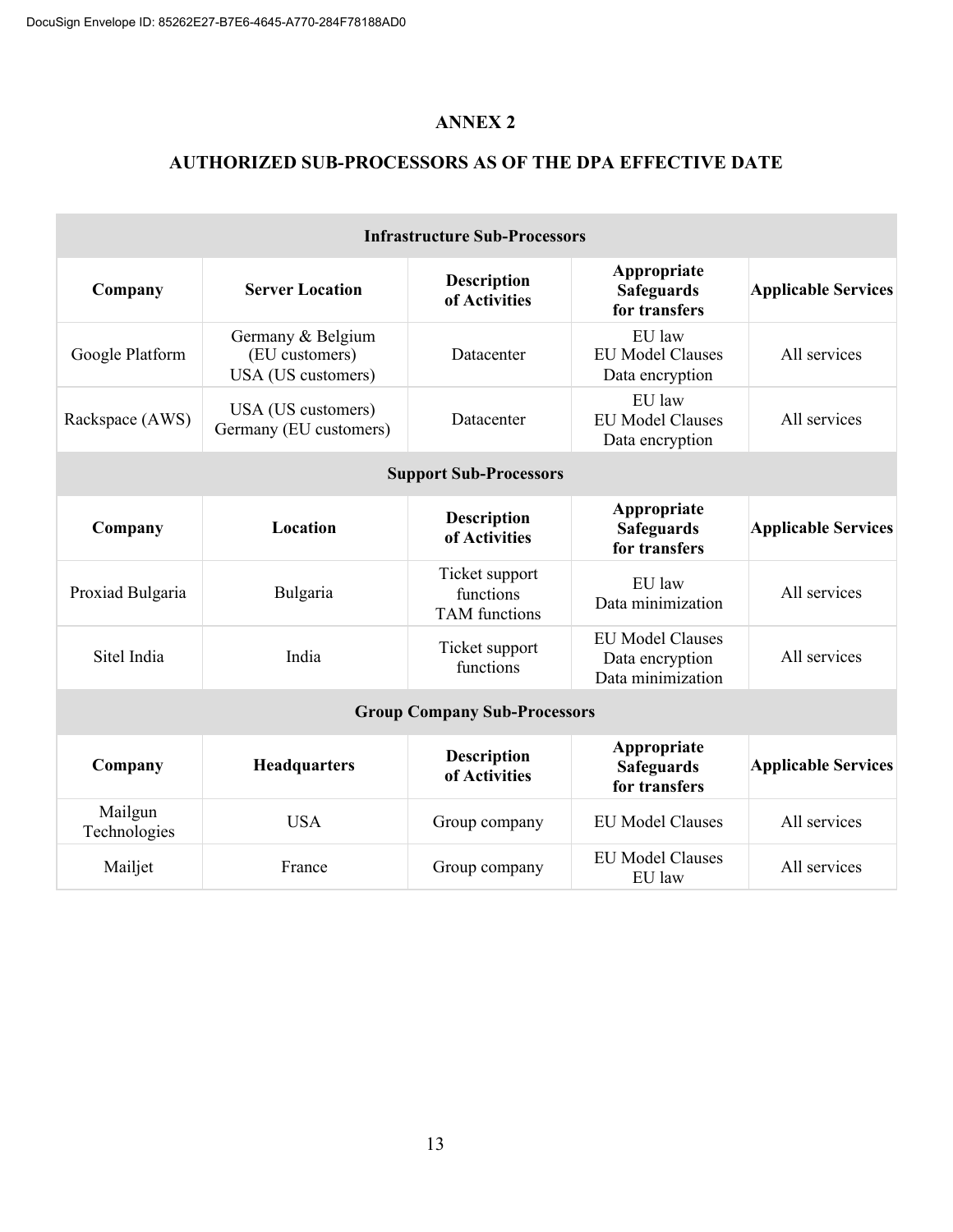### **ANNEX 2**

# **AUTHORIZED SUB-PROCESSORS AS OF THE DPA EFFECTIVE DATE**

| <b>Infrastructure Sub-Processors</b> |                                                           |                                                     |                                                                 |                            |
|--------------------------------------|-----------------------------------------------------------|-----------------------------------------------------|-----------------------------------------------------------------|----------------------------|
| Company                              | <b>Server Location</b>                                    | <b>Description</b><br>of Activities                 | Appropriate<br><b>Safeguards</b><br>for transfers               | <b>Applicable Services</b> |
| Google Platform                      | Germany & Belgium<br>(EU customers)<br>USA (US customers) | Datacenter                                          | EU law<br><b>EU Model Clauses</b><br>Data encryption            | All services               |
| Rackspace (AWS)                      | USA (US customers)<br>Germany (EU customers)              | Datacenter                                          | EU law<br><b>EU Model Clauses</b><br>Data encryption            | All services               |
| <b>Support Sub-Processors</b>        |                                                           |                                                     |                                                                 |                            |
| Company                              | Location                                                  | <b>Description</b><br>of Activities                 | Appropriate<br><b>Safeguards</b><br>for transfers               | <b>Applicable Services</b> |
| Proxiad Bulgaria                     | Bulgaria                                                  | Ticket support<br>functions<br><b>TAM</b> functions | EU law<br>Data minimization                                     | All services               |
| Sitel India                          | India                                                     | Ticket support<br>functions                         | <b>EU Model Clauses</b><br>Data encryption<br>Data minimization | All services               |
| <b>Group Company Sub-Processors</b>  |                                                           |                                                     |                                                                 |                            |
| Company                              | <b>Headquarters</b>                                       | <b>Description</b><br>of Activities                 | Appropriate<br><b>Safeguards</b><br>for transfers               | <b>Applicable Services</b> |
| Mailgun<br>Technologies              | <b>USA</b>                                                | Group company                                       | <b>EU Model Clauses</b>                                         | All services               |
| Mailjet                              | France                                                    | Group company                                       | <b>EU Model Clauses</b><br>EU law                               | All services               |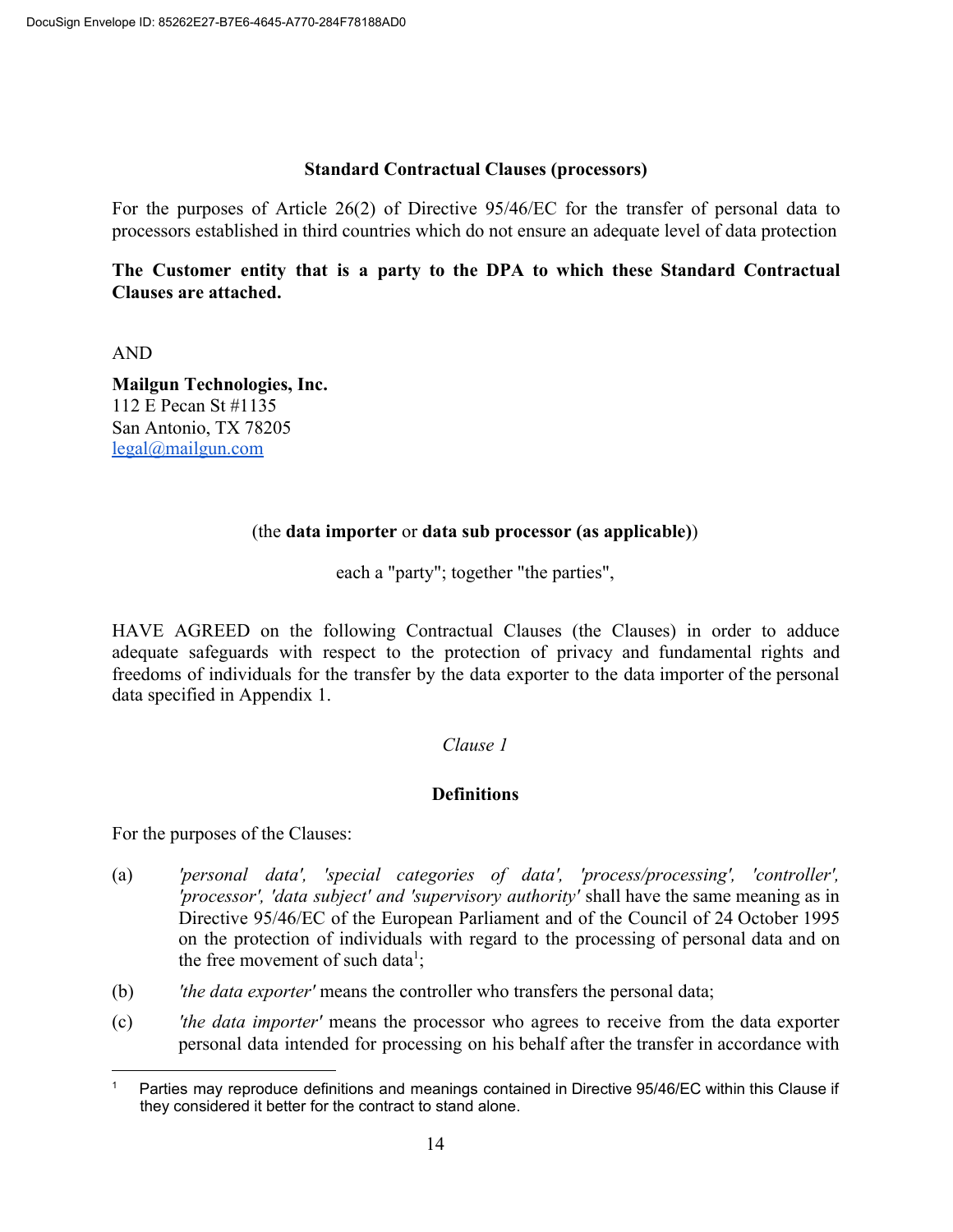### **Standard Contractual Clauses (processors)**

For the purposes of Article 26(2) of Directive 95/46/EC for the transfer of personal data to processors established in third countries which do not ensure an adequate level of data protection

**The Customer entity that is a party to the DPA to which these Standard Contractual Clauses are attached.**

AND

**Mailgun Technologies, Inc.** 112 E Pecan St #1135 San Antonio, TX 78205 [legal@mailgun.com](mailto:legal@mailgun.com)

# (the **data importer** or **data sub processor (as applicable)**)

each a "party"; together "the parties",

HAVE AGREED on the following Contractual Clauses (the Clauses) in order to adduce adequate safeguards with respect to the protection of privacy and fundamental rights and freedoms of individuals for the transfer by the data exporter to the data importer of the personal data specified in Appendix 1.

# *Clause 1*

# **Definitions**

For the purposes of the Clauses:

- (a) *'personal data', 'special categories of data', 'process/processing', 'controller', 'processor', 'data subject' and 'supervisory authority'* shall have the same meaning as in Directive 95/46/EC of the European Parliament and of the Council of 24 October 1995 on the protection of individuals with regard to the processing of personal data and on the free movement of such data<sup>1</sup>;
- (b) *'the data exporter'* means the controller who transfers the personal data;
- (c) *'the data importer'* means the processor who agrees to receive from the data exporter personal data intended for processing on his behalf after the transfer in accordance with

Parties mav reproduce definitions and meanings contained in Directive 95/46/EC within this Clause if they considered it better for the contract to stand alone.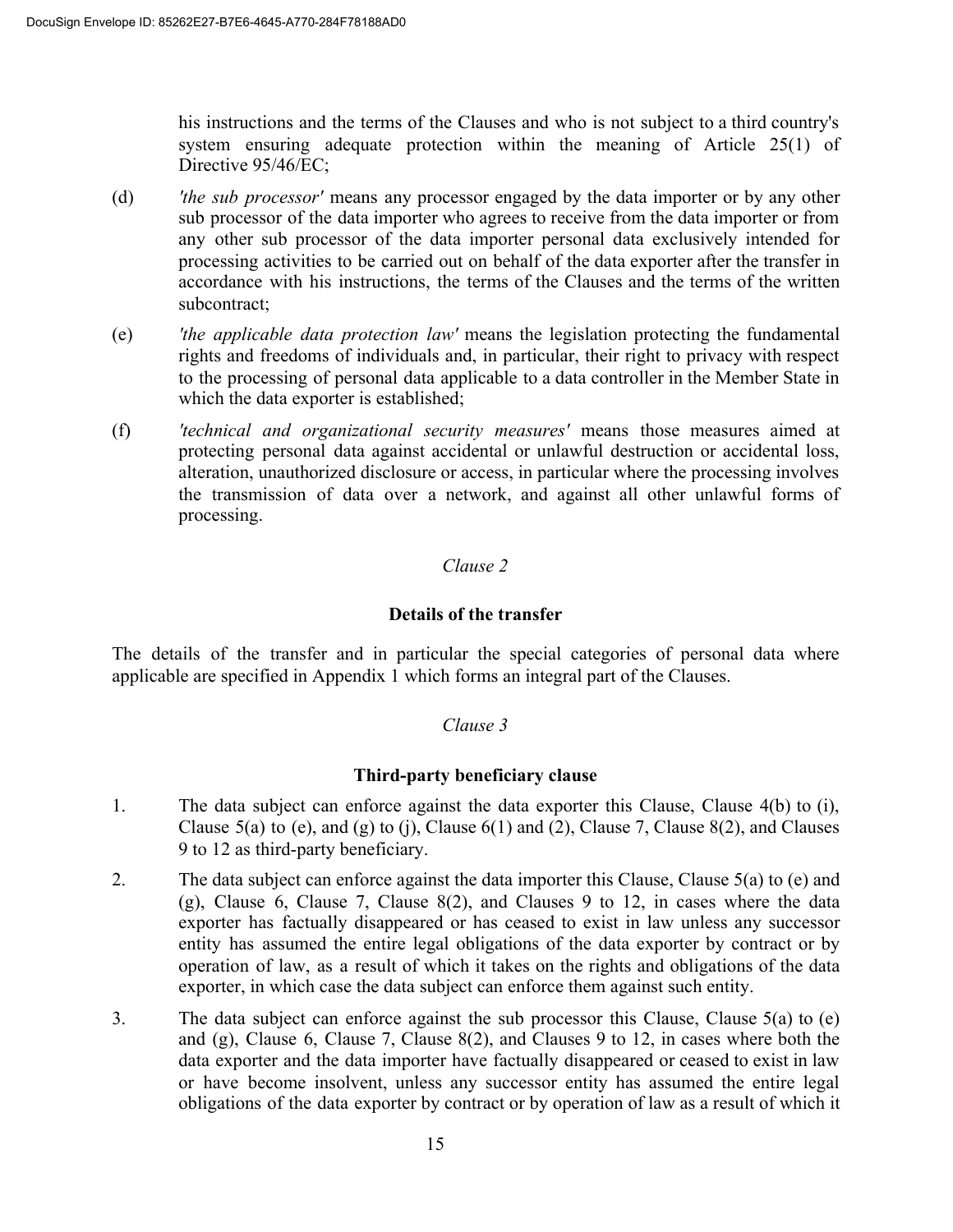his instructions and the terms of the Clauses and who is not subject to a third country's system ensuring adequate protection within the meaning of Article 25(1) of Directive 95/46/EC;

- (d) *'the sub processor'* means any processor engaged by the data importer or by any other sub processor of the data importer who agrees to receive from the data importer or from any other sub processor of the data importer personal data exclusively intended for processing activities to be carried out on behalf of the data exporter after the transfer in accordance with his instructions, the terms of the Clauses and the terms of the written subcontract;
- (e) *'the applicable data protection law'* means the legislation protecting the fundamental rights and freedoms of individuals and, in particular, their right to privacy with respect to the processing of personal data applicable to a data controller in the Member State in which the data exporter is established;
- (f) *'technical and organizational security measures'* means those measures aimed at protecting personal data against accidental or unlawful destruction or accidental loss, alteration, unauthorized disclosure or access, in particular where the processing involves the transmission of data over a network, and against all other unlawful forms of processing.

# *Clause 2*

# **Details of the transfer**

The details of the transfer and in particular the special categories of personal data where applicable are specified in Appendix 1 which forms an integral part of the Clauses.

### *Clause 3*

### **Third-party beneficiary clause**

- 1. The data subject can enforce against the data exporter this Clause, Clause 4(b) to (i), Clause 5(a) to (e), and (g) to (j), Clause 6(1) and (2), Clause 7, Clause 8(2), and Clauses 9 to 12 as third-party beneficiary.
- 2. The data subject can enforce against the data importer this Clause, Clause 5(a) to (e) and (g), Clause 6, Clause 7, Clause 8(2), and Clauses 9 to 12, in cases where the data exporter has factually disappeared or has ceased to exist in law unless any successor entity has assumed the entire legal obligations of the data exporter by contract or by operation of law, as a result of which it takes on the rights and obligations of the data exporter, in which case the data subject can enforce them against such entity.
- 3. The data subject can enforce against the sub processor this Clause, Clause 5(a) to (e) and (g), Clause 6, Clause 7, Clause 8(2), and Clauses 9 to 12, in cases where both the data exporter and the data importer have factually disappeared or ceased to exist in law or have become insolvent, unless any successor entity has assumed the entire legal obligations of the data exporter by contract or by operation of law as a result of which it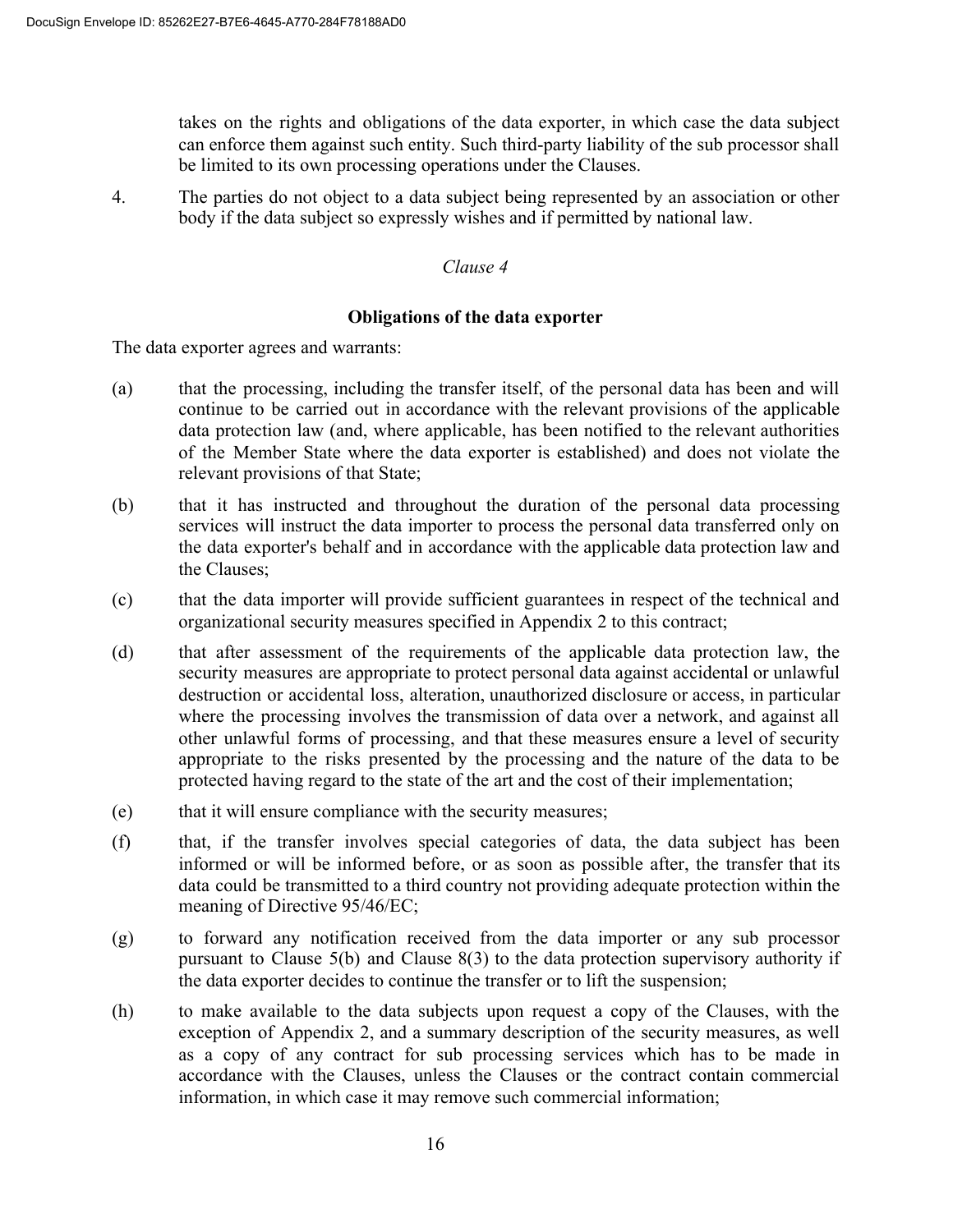takes on the rights and obligations of the data exporter, in which case the data subject can enforce them against such entity. Such third-party liability of the sub processor shall be limited to its own processing operations under the Clauses.

4. The parties do not object to a data subject being represented by an association or other body if the data subject so expressly wishes and if permitted by national law.

#### *Clause 4*

#### **Obligations of the data exporter**

The data exporter agrees and warrants:

- (a) that the processing, including the transfer itself, of the personal data has been and will continue to be carried out in accordance with the relevant provisions of the applicable data protection law (and, where applicable, has been notified to the relevant authorities of the Member State where the data exporter is established) and does not violate the relevant provisions of that State;
- (b) that it has instructed and throughout the duration of the personal data processing services will instruct the data importer to process the personal data transferred only on the data exporter's behalf and in accordance with the applicable data protection law and the Clauses;
- (c) that the data importer will provide sufficient guarantees in respect of the technical and organizational security measures specified in Appendix 2 to this contract;
- (d) that after assessment of the requirements of the applicable data protection law, the security measures are appropriate to protect personal data against accidental or unlawful destruction or accidental loss, alteration, unauthorized disclosure or access, in particular where the processing involves the transmission of data over a network, and against all other unlawful forms of processing, and that these measures ensure a level of security appropriate to the risks presented by the processing and the nature of the data to be protected having regard to the state of the art and the cost of their implementation;
- (e) that it will ensure compliance with the security measures;
- (f) that, if the transfer involves special categories of data, the data subject has been informed or will be informed before, or as soon as possible after, the transfer that its data could be transmitted to a third country not providing adequate protection within the meaning of Directive 95/46/EC;
- (g) to forward any notification received from the data importer or any sub processor pursuant to Clause 5(b) and Clause 8(3) to the data protection supervisory authority if the data exporter decides to continue the transfer or to lift the suspension;
- (h) to make available to the data subjects upon request a copy of the Clauses, with the exception of Appendix 2, and a summary description of the security measures, as well as a copy of any contract for sub processing services which has to be made in accordance with the Clauses, unless the Clauses or the contract contain commercial information, in which case it may remove such commercial information;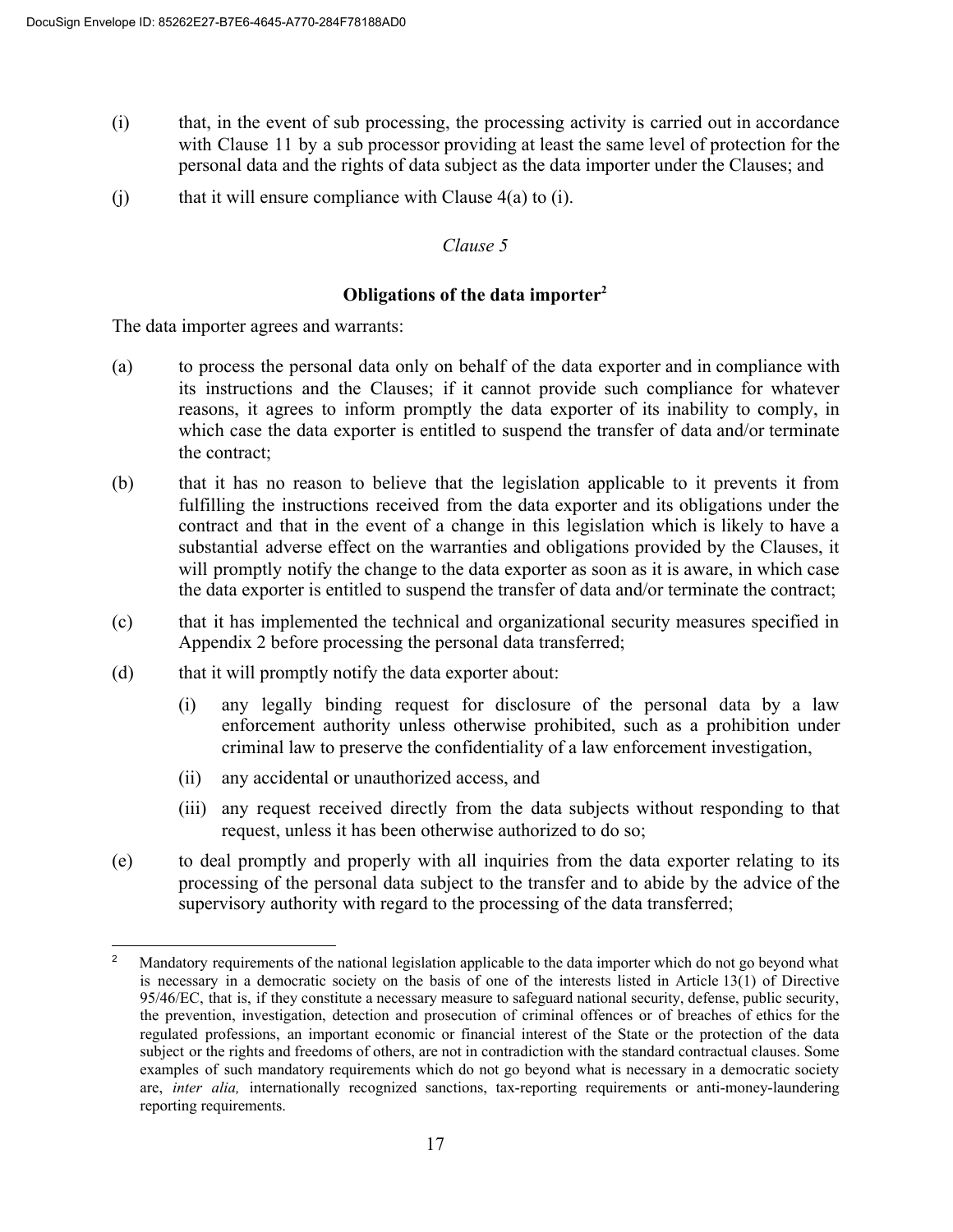- (i) that, in the event of sub processing, the processing activity is carried out in accordance with Clause 11 by a sub processor providing at least the same level of protection for the personal data and the rights of data subject as the data importer under the Clauses; and
- (i) that it will ensure compliance with Clause  $4(a)$  to (i).

### *Clause 5*

### **Obligations of the data importer<sup>2</sup>**

The data importer agrees and warrants:

- (a) to process the personal data only on behalf of the data exporter and in compliance with its instructions and the Clauses; if it cannot provide such compliance for whatever reasons, it agrees to inform promptly the data exporter of its inability to comply, in which case the data exporter is entitled to suspend the transfer of data and/or terminate the contract;
- (b) that it has no reason to believe that the legislation applicable to it prevents it from fulfilling the instructions received from the data exporter and its obligations under the contract and that in the event of a change in this legislation which is likely to have a substantial adverse effect on the warranties and obligations provided by the Clauses, it will promptly notify the change to the data exporter as soon as it is aware, in which case the data exporter is entitled to suspend the transfer of data and/or terminate the contract;
- (c) that it has implemented the technical and organizational security measures specified in Appendix 2 before processing the personal data transferred;
- (d) that it will promptly notify the data exporter about:
	- (i) any legally binding request for disclosure of the personal data by a law enforcement authority unless otherwise prohibited, such as a prohibition under criminal law to preserve the confidentiality of a law enforcement investigation,
	- (ii) any accidental or unauthorized access, and
	- (iii) any request received directly from the data subjects without responding to that request, unless it has been otherwise authorized to do so;
- (e) to deal promptly and properly with all inquiries from the data exporter relating to its processing of the personal data subject to the transfer and to abide by the advice of the supervisory authority with regard to the processing of the data transferred;

<sup>&</sup>lt;sup>2</sup> Mandatory requirements of the national legislation applicable to the data importer which do not go beyond what is necessary in a democratic society on the basis of one of the interests listed in Article 13(1) of Directive 95/46/EC, that is, if they constitute a necessary measure to safeguard national security, defense, public security, the prevention, investigation, detection and prosecution of criminal offences or of breaches of ethics for the regulated professions, an important economic or financial interest of the State or the protection of the data subject or the rights and freedoms of others, are not in contradiction with the standard contractual clauses. Some examples of such mandatory requirements which do not go beyond what is necessary in a democratic society are, *inter alia,* internationally recognized sanctions, tax-reporting requirements or anti-money-laundering reporting requirements.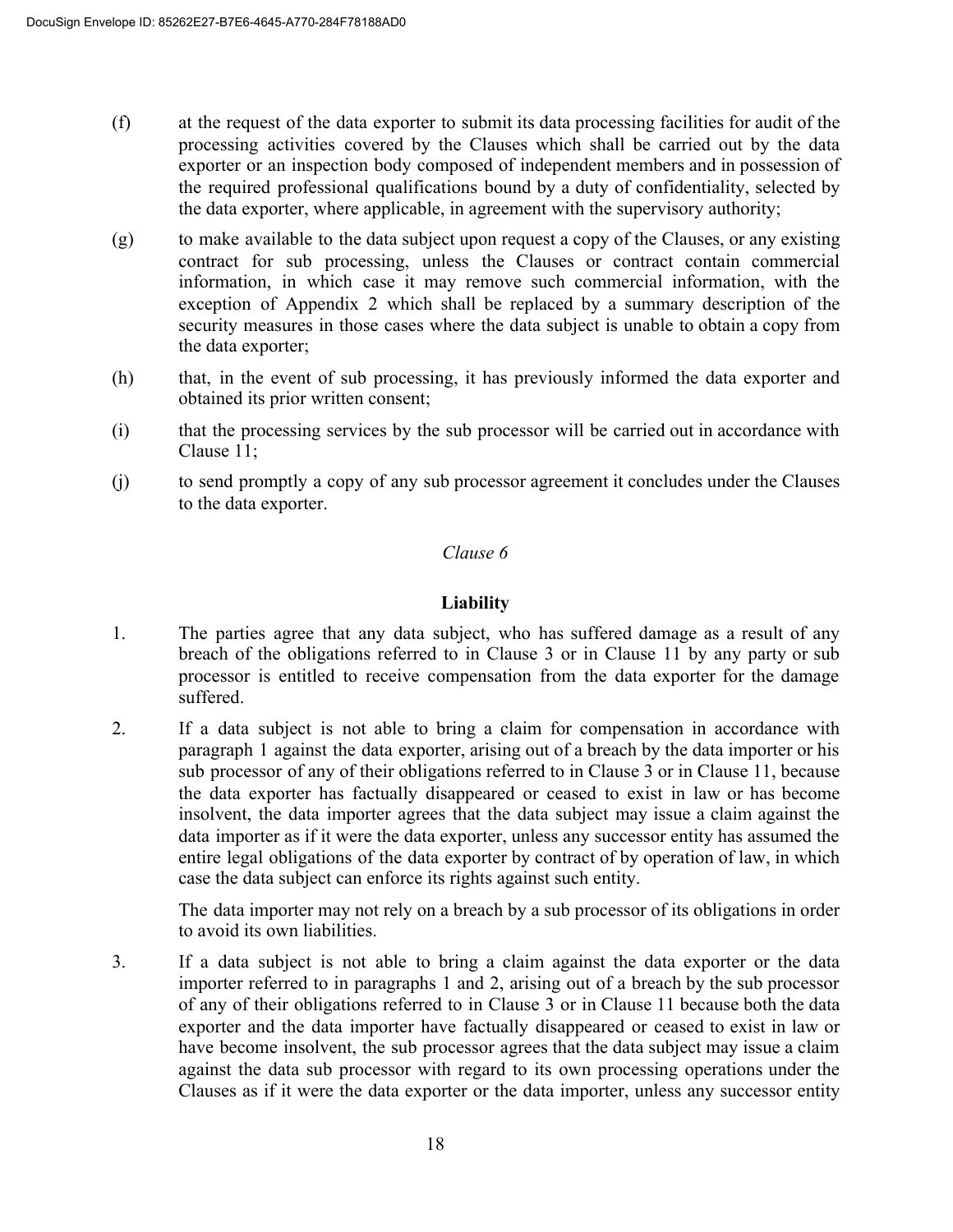- (f) at the request of the data exporter to submit its data processing facilities for audit of the processing activities covered by the Clauses which shall be carried out by the data exporter or an inspection body composed of independent members and in possession of the required professional qualifications bound by a duty of confidentiality, selected by the data exporter, where applicable, in agreement with the supervisory authority;
- (g) to make available to the data subject upon request a copy of the Clauses, or any existing contract for sub processing, unless the Clauses or contract contain commercial information, in which case it may remove such commercial information, with the exception of Appendix 2 which shall be replaced by a summary description of the security measures in those cases where the data subject is unable to obtain a copy from the data exporter;
- (h) that, in the event of sub processing, it has previously informed the data exporter and obtained its prior written consent;
- (i) that the processing services by the sub processor will be carried out in accordance with Clause 11;
- (j) to send promptly a copy of any sub processor agreement it concludes under the Clauses to the data exporter.

# *Clause 6*

# **Liability**

- 1. The parties agree that any data subject, who has suffered damage as a result of any breach of the obligations referred to in Clause 3 or in Clause 11 by any party or sub processor is entitled to receive compensation from the data exporter for the damage suffered.
- 2. If a data subject is not able to bring a claim for compensation in accordance with paragraph 1 against the data exporter, arising out of a breach by the data importer or his sub processor of any of their obligations referred to in Clause 3 or in Clause 11, because the data exporter has factually disappeared or ceased to exist in law or has become insolvent, the data importer agrees that the data subject may issue a claim against the data importer as if it were the data exporter, unless any successor entity has assumed the entire legal obligations of the data exporter by contract of by operation of law, in which case the data subject can enforce its rights against such entity.

The data importer may not rely on a breach by a sub processor of its obligations in order to avoid its own liabilities.

3. If a data subject is not able to bring a claim against the data exporter or the data importer referred to in paragraphs 1 and 2, arising out of a breach by the sub processor of any of their obligations referred to in Clause 3 or in Clause 11 because both the data exporter and the data importer have factually disappeared or ceased to exist in law or have become insolvent, the sub processor agrees that the data subject may issue a claim against the data sub processor with regard to its own processing operations under the Clauses as if it were the data exporter or the data importer, unless any successor entity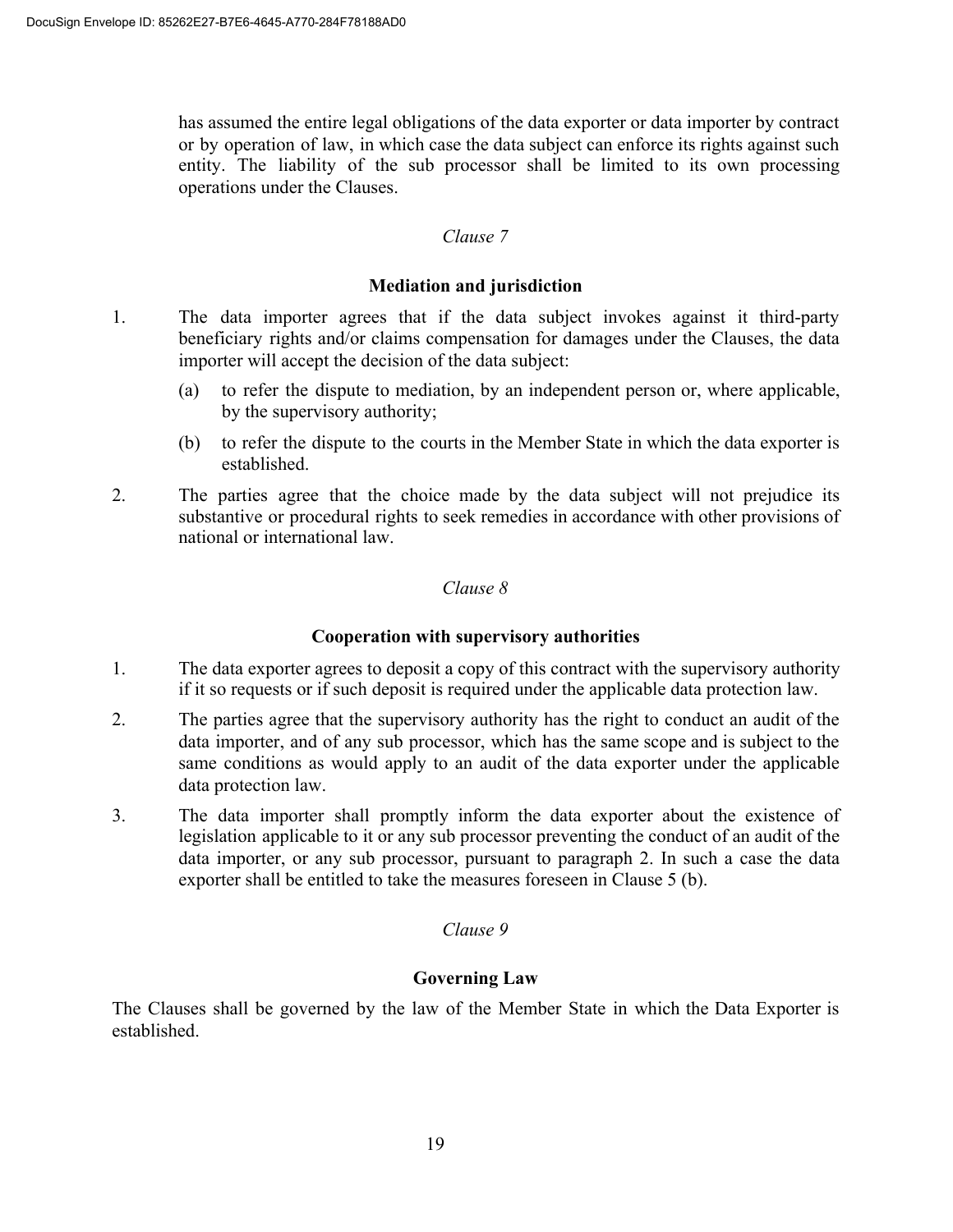has assumed the entire legal obligations of the data exporter or data importer by contract or by operation of law, in which case the data subject can enforce its rights against such entity. The liability of the sub processor shall be limited to its own processing operations under the Clauses.

#### *Clause 7*

### **Mediation and jurisdiction**

- 1. The data importer agrees that if the data subject invokes against it third-party beneficiary rights and/or claims compensation for damages under the Clauses, the data importer will accept the decision of the data subject:
	- (a) to refer the dispute to mediation, by an independent person or, where applicable, by the supervisory authority;
	- (b) to refer the dispute to the courts in the Member State in which the data exporter is established.
- 2. The parties agree that the choice made by the data subject will not prejudice its substantive or procedural rights to seek remedies in accordance with other provisions of national or international law.

### *Clause 8*

### **Cooperation with supervisory authorities**

- 1. The data exporter agrees to deposit a copy of this contract with the supervisory authority if it so requests or if such deposit is required under the applicable data protection law.
- 2. The parties agree that the supervisory authority has the right to conduct an audit of the data importer, and of any sub processor, which has the same scope and is subject to the same conditions as would apply to an audit of the data exporter under the applicable data protection law.
- 3. The data importer shall promptly inform the data exporter about the existence of legislation applicable to it or any sub processor preventing the conduct of an audit of the data importer, or any sub processor, pursuant to paragraph 2. In such a case the data exporter shall be entitled to take the measures foreseen in Clause 5 (b).

### *Clause 9*

### **Governing Law**

The Clauses shall be governed by the law of the Member State in which the Data Exporter is established.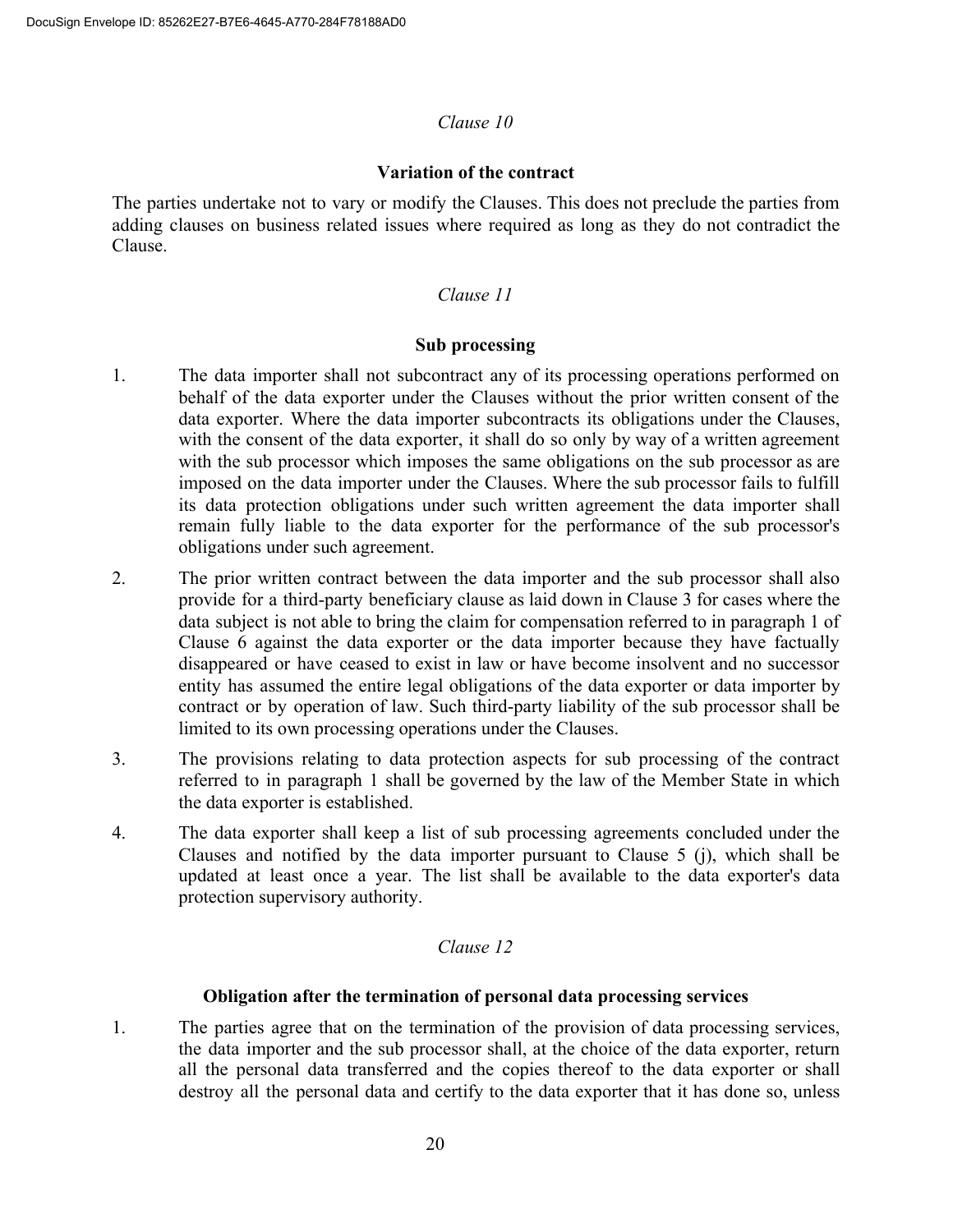#### *Clause 10*

#### **Variation of the contract**

The parties undertake not to vary or modify the Clauses. This does not preclude the parties from adding clauses on business related issues where required as long as they do not contradict the Clause.

### *Clause 11*

#### **Sub processing**

- 1. The data importer shall not subcontract any of its processing operations performed on behalf of the data exporter under the Clauses without the prior written consent of the data exporter. Where the data importer subcontracts its obligations under the Clauses, with the consent of the data exporter, it shall do so only by way of a written agreement with the sub processor which imposes the same obligations on the sub processor as are imposed on the data importer under the Clauses. Where the sub processor fails to fulfill its data protection obligations under such written agreement the data importer shall remain fully liable to the data exporter for the performance of the sub processor's obligations under such agreement.
- 2. The prior written contract between the data importer and the sub processor shall also provide for a third-party beneficiary clause as laid down in Clause 3 for cases where the data subject is not able to bring the claim for compensation referred to in paragraph 1 of Clause 6 against the data exporter or the data importer because they have factually disappeared or have ceased to exist in law or have become insolvent and no successor entity has assumed the entire legal obligations of the data exporter or data importer by contract or by operation of law. Such third-party liability of the sub processor shall be limited to its own processing operations under the Clauses.
- 3. The provisions relating to data protection aspects for sub processing of the contract referred to in paragraph 1 shall be governed by the law of the Member State in which the data exporter is established.
- 4. The data exporter shall keep a list of sub processing agreements concluded under the Clauses and notified by the data importer pursuant to Clause 5 (j), which shall be updated at least once a year. The list shall be available to the data exporter's data protection supervisory authority.

### *Clause 12*

### **Obligation after the termination of personal data processing services**

1. The parties agree that on the termination of the provision of data processing services, the data importer and the sub processor shall, at the choice of the data exporter, return all the personal data transferred and the copies thereof to the data exporter or shall destroy all the personal data and certify to the data exporter that it has done so, unless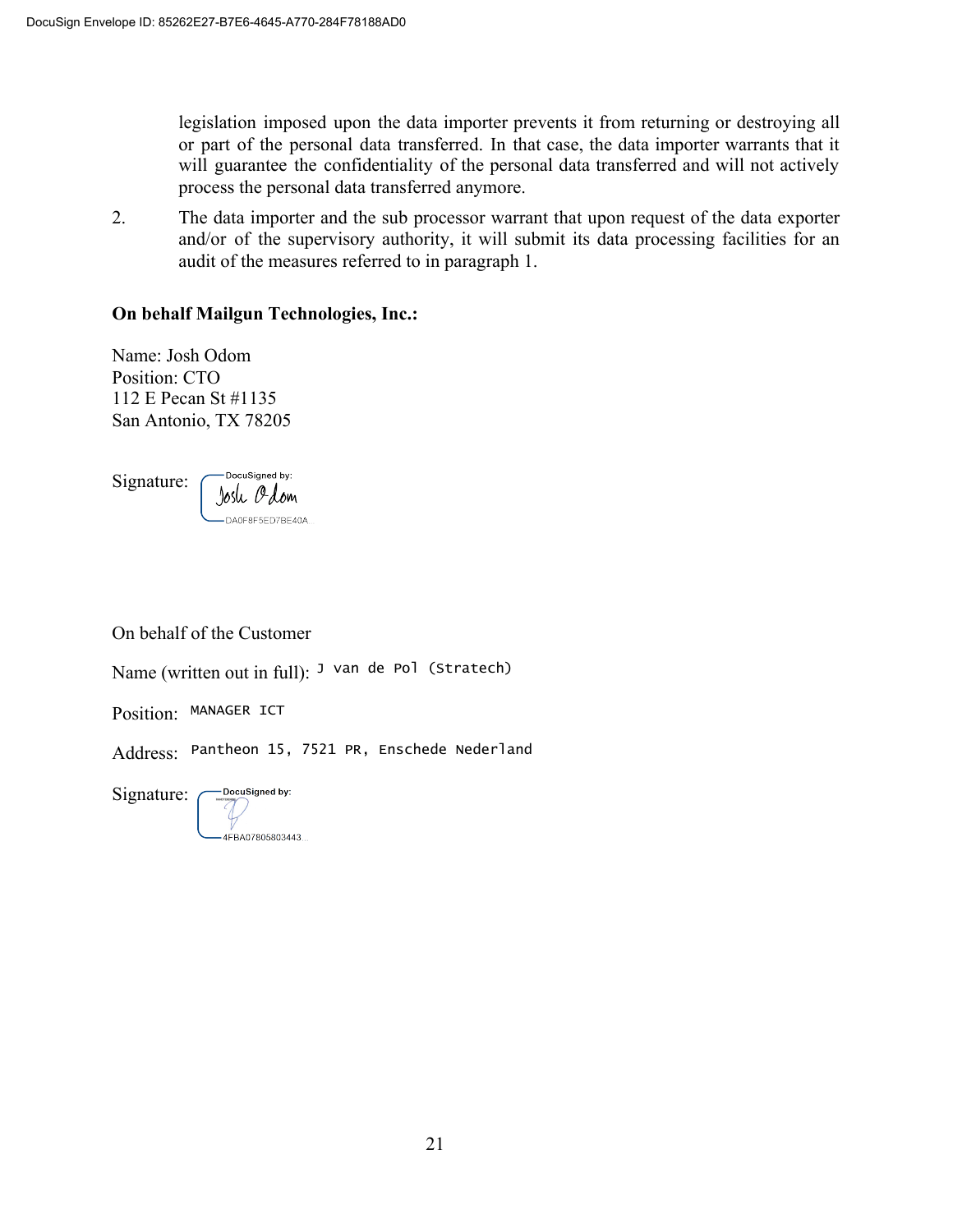legislation imposed upon the data importer prevents it from returning or destroying all or part of the personal data transferred. In that case, the data importer warrants that it will guarantee the confidentiality of the personal data transferred and will not actively process the personal data transferred anymore.

2. The data importer and the sub processor warrant that upon request of the data exporter and/or of the supervisory authority, it will submit its data processing facilities for an audit of the measures referred to in paragraph 1.

#### **On behalf Mailgun Technologies, Inc.:**

Name: Josh Odom Position: CTO 112 E Pecan St #1135 San Antonio, TX 78205

DocuSigned by: Signature: Josle Odom DA0F8F5FD7BF40A

On behalf of the Customer

Name (written out in full): J van de Pol (Stratech)

Position: MANAGER ICT

Address: Pantheon 15, 7521 PR, Enschede Nederland

Signature: DocuSigned by:

4FRA07805803443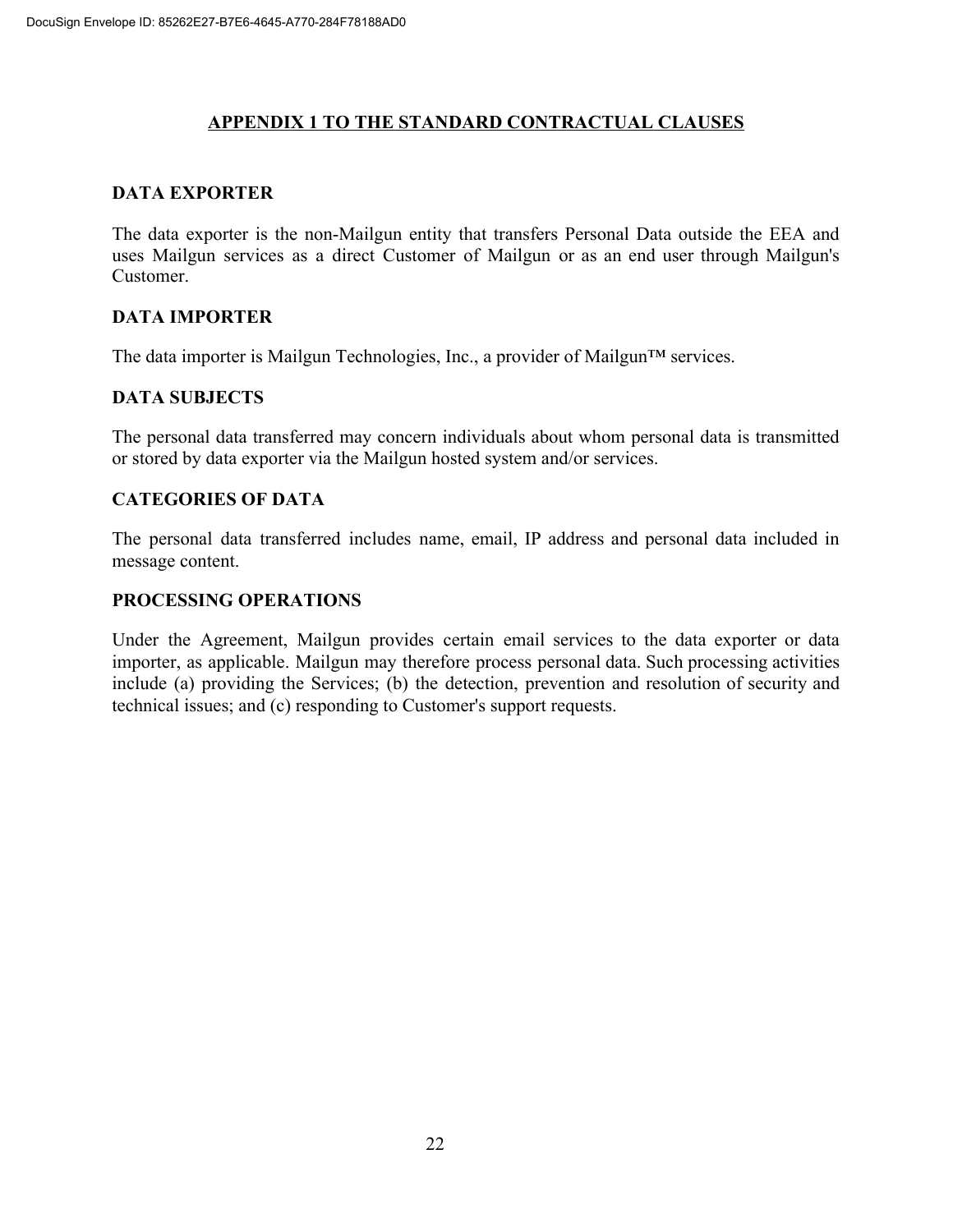# **APPENDIX 1 TO THE STANDARD CONTRACTUAL CLAUSES**

### **DATA EXPORTER**

The data exporter is the non-Mailgun entity that transfers Personal Data outside the EEA and uses Mailgun services as a direct Customer of Mailgun or as an end user through Mailgun's Customer.

# **DATA IMPORTER**

The data importer is Mailgun Technologies, Inc., a provider of Mailgun™ services.

# **DATA SUBJECTS**

The personal data transferred may concern individuals about whom personal data is transmitted or stored by data exporter via the Mailgun hosted system and/or services.

### **CATEGORIES OF DATA**

The personal data transferred includes name, email, IP address and personal data included in message content.

### **PROCESSING OPERATIONS**

Under the Agreement, Mailgun provides certain email services to the data exporter or data importer, as applicable. Mailgun may therefore process personal data. Such processing activities include (a) providing the Services; (b) the detection, prevention and resolution of security and technical issues; and (c) responding to Customer's support requests.